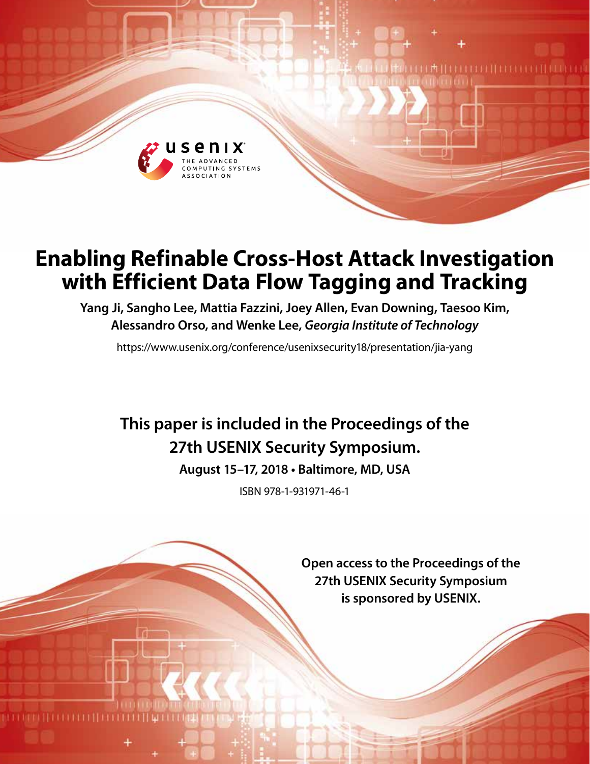

# **Enabling Refinable Cross-Host Attack Investigation with Efficient Data Flow Tagging and Tracking**

**Yang Ji, Sangho Lee, Mattia Fazzini, Joey Allen, Evan Downing, Taesoo Kim, Alessandro Orso, and Wenke Lee,** *Georgia Institute of Technology*

https://www.usenix.org/conference/usenixsecurity18/presentation/jia-yang

## **This paper is included in the Proceedings of the 27th USENIX Security Symposium.**

**August 15–17, 2018 • Baltimore, MD, USA**

ISBN 978-1-931971-46-1

**Open access to the Proceedings of the 27th USENIX Security Symposium is sponsored by USENIX.**

**TITTITITITITI**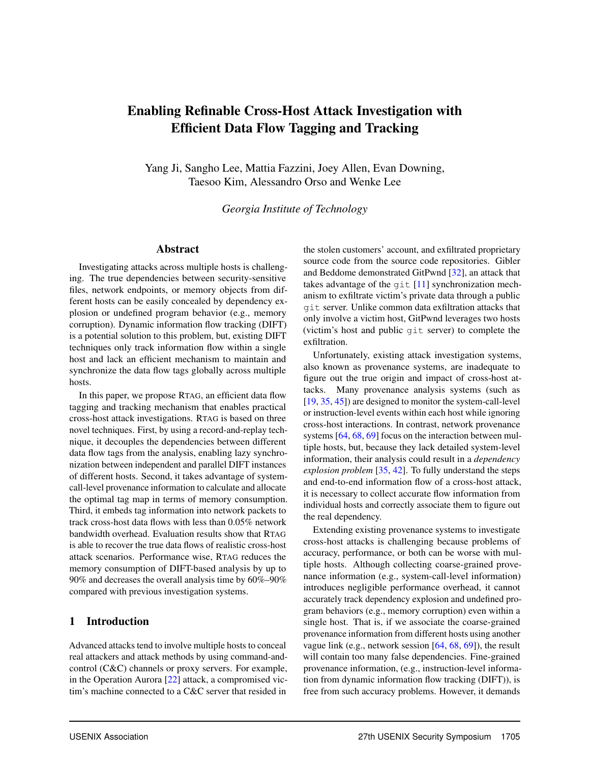## Enabling Refinable Cross-Host Attack Investigation with Efficient Data Flow Tagging and Tracking

Yang Ji, Sangho Lee, Mattia Fazzini, Joey Allen, Evan Downing, Taesoo Kim, Alessandro Orso and Wenke Lee

*Georgia Institute of Technology*

## Abstract

Investigating attacks across multiple hosts is challenging. The true dependencies between security-sensitive files, network endpoints, or memory objects from different hosts can be easily concealed by dependency explosion or undefined program behavior (e.g., memory corruption). Dynamic information flow tracking (DIFT) is a potential solution to this problem, but, existing DIFT techniques only track information flow within a single host and lack an efficient mechanism to maintain and synchronize the data flow tags globally across multiple hosts.

In this paper, we propose RTAG, an efficient data flow tagging and tracking mechanism that enables practical cross-host attack investigations. RTAG is based on three novel techniques. First, by using a record-and-replay technique, it decouples the dependencies between different data flow tags from the analysis, enabling lazy synchronization between independent and parallel DIFT instances of different hosts. Second, it takes advantage of systemcall-level provenance information to calculate and allocate the optimal tag map in terms of memory consumption. Third, it embeds tag information into network packets to track cross-host data flows with less than 0.05% network bandwidth overhead. Evaluation results show that RTAG is able to recover the true data flows of realistic cross-host attack scenarios. Performance wise, RTAG reduces the memory consumption of DIFT-based analysis by up to 90% and decreases the overall analysis time by 60%–90% compared with previous investigation systems.

#### 1 Introduction

Advanced attacks tend to involve multiple hosts to conceal real attackers and attack methods by using command-andcontrol (C&C) channels or proxy servers. For example, in the Operation Aurora [\[22\]](#page-16-0) attack, a compromised victim's machine connected to a C&C server that resided in

the stolen customers' account, and exfiltrated proprietary source code from the source code repositories. Gibler and Beddome demonstrated GitPwnd [\[32\]](#page-16-1), an attack that takes advantage of the git [\[11\]](#page-16-2) synchronization mechanism to exfiltrate victim's private data through a public git server. Unlike common data exfiltration attacks that only involve a victim host, GitPwnd leverages two hosts (victim's host and public git server) to complete the exfiltration.

Unfortunately, existing attack investigation systems, also known as provenance systems, are inadequate to figure out the true origin and impact of cross-host attacks. Many provenance analysis systems (such as [\[19,](#page-16-3) [35,](#page-16-4) [45\]](#page-17-0)) are designed to monitor the system-call-level or instruction-level events within each host while ignoring cross-host interactions. In contrast, network provenance systems [\[64,](#page-17-1) [68,](#page-18-0) [69\]](#page-18-1) focus on the interaction between multiple hosts, but, because they lack detailed system-level information, their analysis could result in a *dependency explosion problem* [\[35,](#page-16-4) [42\]](#page-17-2). To fully understand the steps and end-to-end information flow of a cross-host attack, it is necessary to collect accurate flow information from individual hosts and correctly associate them to figure out the real dependency.

Extending existing provenance systems to investigate cross-host attacks is challenging because problems of accuracy, performance, or both can be worse with multiple hosts. Although collecting coarse-grained provenance information (e.g., system-call-level information) introduces negligible performance overhead, it cannot accurately track dependency explosion and undefined program behaviors (e.g., memory corruption) even within a single host. That is, if we associate the coarse-grained provenance information from different hosts using another vague link (e.g., network session [\[64,](#page-17-1) [68,](#page-18-0) [69\]](#page-18-1)), the result will contain too many false dependencies. Fine-grained provenance information, (e.g., instruction-level information from dynamic information flow tracking (DIFT)), is free from such accuracy problems. However, it demands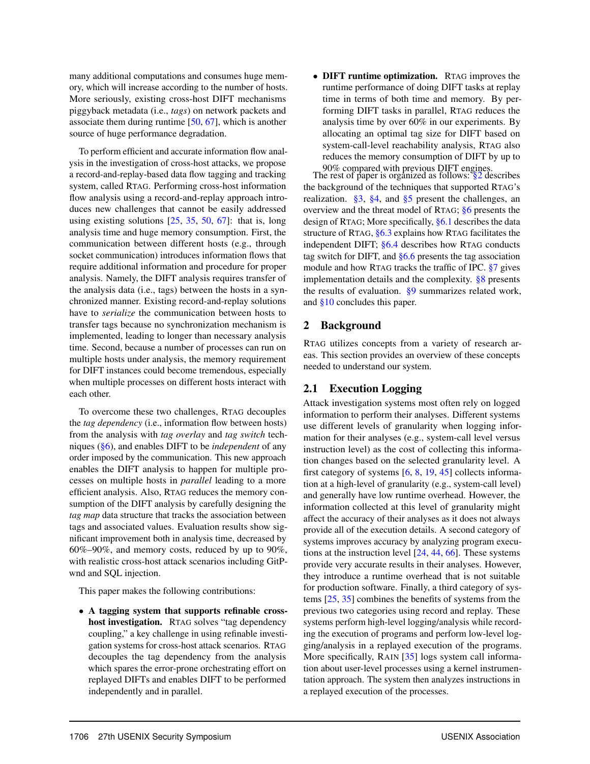many additional computations and consumes huge memory, which will increase according to the number of hosts. More seriously, existing cross-host DIFT mechanisms piggyback metadata (i.e., *tags*) on network packets and associate them during runtime [\[50,](#page-17-3) [67\]](#page-18-2), which is another source of huge performance degradation.

To perform efficient and accurate information flow analysis in the investigation of cross-host attacks, we propose a record-and-replay-based data flow tagging and tracking system, called RTAG. Performing cross-host information flow analysis using a record-and-replay approach introduces new challenges that cannot be easily addressed using existing solutions  $[25, 35, 50, 67]$  $[25, 35, 50, 67]$  $[25, 35, 50, 67]$  $[25, 35, 50, 67]$  $[25, 35, 50, 67]$  $[25, 35, 50, 67]$  $[25, 35, 50, 67]$ : that is, long analysis time and huge memory consumption. First, the communication between different hosts (e.g., through socket communication) introduces information flows that require additional information and procedure for proper analysis. Namely, the DIFT analysis requires transfer of the analysis data (i.e., tags) between the hosts in a synchronized manner. Existing record-and-replay solutions have to *serialize* the communication between hosts to transfer tags because no synchronization mechanism is implemented, leading to longer than necessary analysis time. Second, because a number of processes can run on multiple hosts under analysis, the memory requirement for DIFT instances could become tremendous, especially when multiple processes on different hosts interact with each other.

To overcome these two challenges, RTAG decouples the *tag dependency* (i.e., information flow between hosts) from the analysis with *tag overlay* and *tag switch* techniques [\(§6\)](#page-6-0), and enables DIFT to be *independent* of any order imposed by the communication. This new approach enables the DIFT analysis to happen for multiple processes on multiple hosts in *parallel* leading to a more efficient analysis. Also, RTAG reduces the memory consumption of the DIFT analysis by carefully designing the *tag map* data structure that tracks the association between tags and associated values. Evaluation results show significant improvement both in analysis time, decreased by 60%–90%, and memory costs, reduced by up to 90%, with realistic cross-host attack scenarios including GitPwnd and SQL injection.

This paper makes the following contributions:

• A tagging system that supports refinable crosshost investigation. RTAG solves "tag dependency coupling," a key challenge in using refinable investigation systems for cross-host attack scenarios. RTAG decouples the tag dependency from the analysis which spares the error-prone orchestrating effort on replayed DIFTs and enables DIFT to be performed independently and in parallel.

• **DIFT** runtime optimization. RTAG improves the runtime performance of doing DIFT tasks at replay time in terms of both time and memory. By performing DIFT tasks in parallel, RTAG reduces the analysis time by over 60% in our experiments. By allocating an optimal tag size for DIFT based on system-call-level reachability analysis, RTAG also reduces the memory consumption of DIFT by up to

90% compared with previous DIFT engines. The rest of paper is organized as follows: [§2](#page-2-0) describes the background of the techniques that supported RTAG's realization.  $\S3$ ,  $\S4$ , and  $\S5$  present the challenges, an overview and the threat model of RTAG; [§6](#page-6-0) presents the design of RTAG; More specifically, [§6.1](#page-6-1) describes the data structure of RTAG, [§6.3](#page-7-0) explains how RTAG facilitates the independent DIFT; [§6.4](#page-7-1) describes how RTAG conducts tag switch for DIFT, and  $§6.6$  presents the tag association module and how RTAG tracks the traffic of IPC. [§7](#page-10-0) gives implementation details and the complexity. [§8](#page-10-1) presents the results of evaluation. [§9](#page-14-0) summarizes related work, and [§10](#page-15-0) concludes this paper.

## <span id="page-2-0"></span>2 Background

RTAG utilizes concepts from a variety of research areas. This section provides an overview of these concepts needed to understand our system.

## 2.1 Execution Logging

Attack investigation systems most often rely on logged information to perform their analyses. Different systems use different levels of granularity when logging information for their analyses (e.g., system-call level versus instruction level) as the cost of collecting this information changes based on the selected granularity level. A first category of systems [\[6,](#page-16-6) [8,](#page-16-7) [19,](#page-16-3) [45\]](#page-17-0) collects information at a high-level of granularity (e.g., system-call level) and generally have low runtime overhead. However, the information collected at this level of granularity might affect the accuracy of their analyses as it does not always provide all of the execution details. A second category of systems improves accuracy by analyzing program executions at the instruction level [\[24,](#page-16-8) [44,](#page-17-4) [66\]](#page-17-5). These systems provide very accurate results in their analyses. However, they introduce a runtime overhead that is not suitable for production software. Finally, a third category of systems [\[25,](#page-16-5) [35\]](#page-16-4) combines the benefits of systems from the previous two categories using record and replay. These systems perform high-level logging/analysis while recording the execution of programs and perform low-level logging/analysis in a replayed execution of the programs. More specifically, RAIN [\[35\]](#page-16-4) logs system call information about user-level processes using a kernel instrumentation approach. The system then analyzes instructions in a replayed execution of the processes.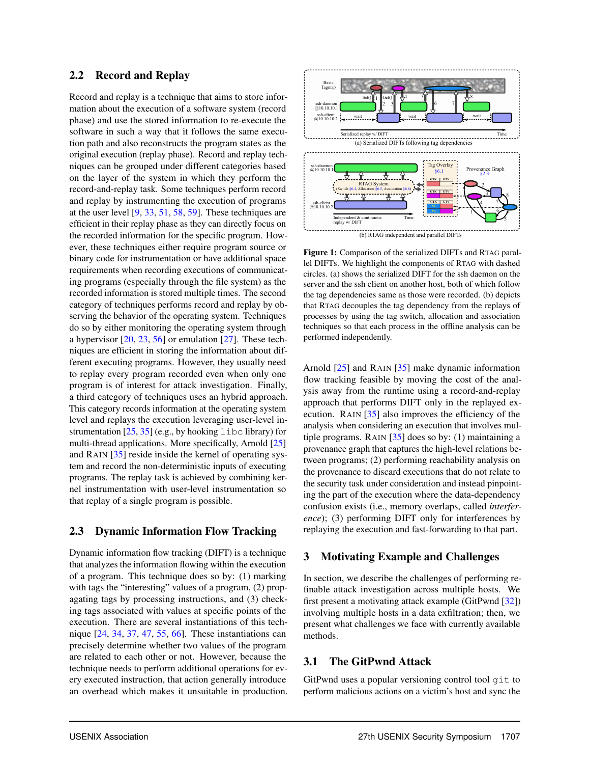## 2.2 Record and Replay

Record and replay is a technique that aims to store information about the execution of a software system (record phase) and use the stored information to re-execute the software in such a way that it follows the same execution path and also reconstructs the program states as the original execution (replay phase). Record and replay techniques can be grouped under different categories based on the layer of the system in which they perform the record-and-replay task. Some techniques perform record and replay by instrumenting the execution of programs at the user level [\[9,](#page-16-9) [33,](#page-16-10) [51,](#page-17-6) [58,](#page-17-7) [59\]](#page-17-8). These techniques are efficient in their replay phase as they can directly focus on the recorded information for the specific program. However, these techniques either require program source or binary code for instrumentation or have additional space requirements when recording executions of communicating programs (especially through the file system) as the recorded information is stored multiple times. The second category of techniques performs record and replay by observing the behavior of the operating system. Techniques do so by either monitoring the operating system through a hypervisor [\[20,](#page-16-11) [23,](#page-16-12) [56\]](#page-17-9) or emulation [\[27\]](#page-16-13). These techniques are efficient in storing the information about different executing programs. However, they usually need to replay every program recorded even when only one program is of interest for attack investigation. Finally, a third category of techniques uses an hybrid approach. This category records information at the operating system level and replays the execution leveraging user-level instrumentation  $[25, 35]$  $[25, 35]$  $[25, 35]$  (e.g., by hooking libc library) for multi-thread applications. More specifically, Arnold [\[25\]](#page-16-5) and RAIN [\[35\]](#page-16-4) reside inside the kernel of operating system and record the non-deterministic inputs of executing programs. The replay task is achieved by combining kernel instrumentation with user-level instrumentation so that replay of a single program is possible.

## 2.3 Dynamic Information Flow Tracking

Dynamic information flow tracking (DIFT) is a technique that analyzes the information flowing within the execution of a program. This technique does so by: (1) marking with tags the "interesting" values of a program, (2) propagating tags by processing instructions, and (3) checking tags associated with values at specific points of the execution. There are several instantiations of this technique [\[24,](#page-16-8) [34,](#page-16-14) [37,](#page-16-15) [47,](#page-17-10) [55,](#page-17-11) [66\]](#page-17-5). These instantiations can precisely determine whether two values of the program are related to each other or not. However, because the technique needs to perform additional operations for every executed instruction, that action generally introduce an overhead which makes it unsuitable in production.

<span id="page-3-2"></span>

Figure 1: Comparison of the serialized DIFTs and RTAG parallel DIFTs. We highlight the components of RTAG with dashed circles. (a) shows the serialized DIFT for the ssh daemon on the server and the ssh client on another host, both of which follow the tag dependencies same as those were recorded. (b) depicts that RTAG decouples the tag dependency from the replays of processes by using the tag switch, allocation and association techniques so that each process in the offline analysis can be performed independently.

Arnold [\[25\]](#page-16-5) and RAIN [\[35\]](#page-16-4) make dynamic information flow tracking feasible by moving the cost of the analysis away from the runtime using a record-and-replay approach that performs DIFT only in the replayed execution. RAIN [\[35\]](#page-16-4) also improves the efficiency of the analysis when considering an execution that involves multiple programs. RAIN  $[35]$  does so by: (1) maintaining a provenance graph that captures the high-level relations between programs; (2) performing reachability analysis on the provenance to discard executions that do not relate to the security task under consideration and instead pinpointing the part of the execution where the data-dependency confusion exists (i.e., memory overlaps, called *interference*); (3) performing DIFT only for interferences by replaying the execution and fast-forwarding to that part.

## <span id="page-3-0"></span>3 Motivating Example and Challenges

In section, we describe the challenges of performing refinable attack investigation across multiple hosts. We first present a motivating attack example (GitPwnd [\[32\]](#page-16-1)) involving multiple hosts in a data exfiltration; then, we present what challenges we face with currently available methods.

## <span id="page-3-1"></span>3.1 The GitPwnd Attack

GitPwnd uses a popular versioning control tool git to perform malicious actions on a victim's host and sync the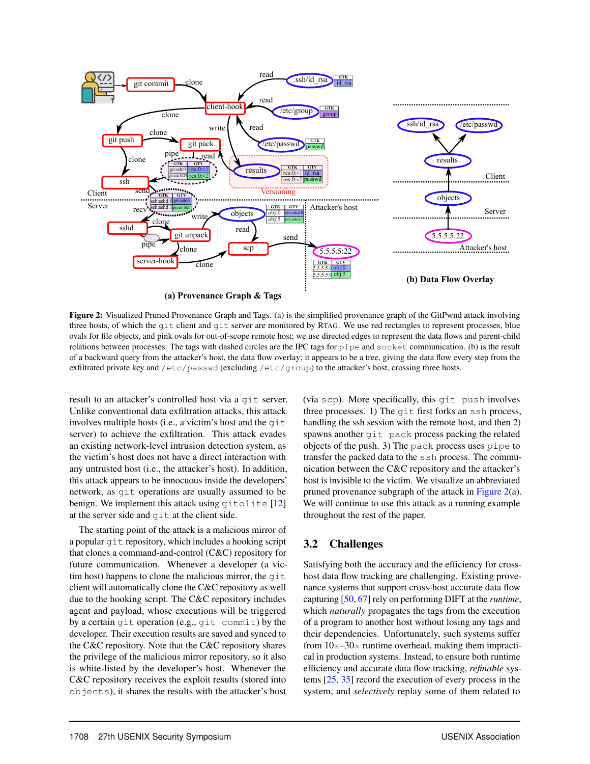<span id="page-4-0"></span>

Figure 2: Visualized Pruned Provenance Graph and Tags. (a) is the simplified provenance graph of the GitPwnd attack involving three hosts, of which the git client and git server are monitored by RTAG. We use red rectangles to represent processes, blue ovals for file objects, and pink ovals for out-of-scope remote host; we use directed edges to represent the data flows and parent-child relations between processes. The tags with dashed circles are the IPC tags for pipe and socket communication. (b) is the result of a backward query from the attacker's host, the data flow overlay; it appears to be a tree, giving the data flow every step from the exfiltrated private key and /etc/passwd (excluding /etc/group) to the attacker's host, crossing three hosts.

result to an attacker's controlled host via a git server. Unlike conventional data exfiltration attacks, this attack involves multiple hosts (i.e., a victim's host and the git server) to achieve the exfiltration. This attack evades an existing network-level intrusion detection system, as the victim's host does not have a direct interaction with any untrusted host (i.e., the attacker's host). In addition, this attack appears to be innocuous inside the developers' network, as git operations are usually assumed to be benign. We implement this attack using gitolite [\[12\]](#page-16-16) at the server side and git at the client side.

The starting point of the attack is a malicious mirror of a popular git repository, which includes a hooking script that clones a command-and-control (C&C) repository for future communication. Whenever a developer (a victim host) happens to clone the malicious mirror, the git client will automatically clone the C&C repository as well due to the hooking script. The C&C repository includes agent and payload, whose executions will be triggered by a certain git operation (e.g., git commit) by the developer. Their execution results are saved and synced to the C&C repository. Note that the C&C repository shares the privilege of the malicious mirror repository, so it also is white-listed by the developer's host. Whenever the C&C repository receives the exploit results (stored into objects), it shares the results with the attacker's host

(via scp). More specifically, this git push involves three processes. 1) The git first forks an ssh process, handling the ssh session with the remote host, and then 2) spawns another git pack process packing the related objects of the push. 3) The pack process uses pipe to transfer the packed data to the ssh process. The communication between the C&C repository and the attacker's host is invisible to the victim. We visualize an abbreviated pruned provenance subgraph of the attack in [Figure 2\(](#page-4-0)a). We will continue to use this attack as a running example throughout the rest of the paper.

## 3.2 Challenges

Satisfying both the accuracy and the efficiency for crosshost data flow tracking are challenging. Existing provenance systems that support cross-host accurate data flow capturing [\[50,](#page-17-3) [67\]](#page-18-2) rely on performing DIFT at the *runtime*, which *naturally* propagates the tags from the execution of a program to another host without losing any tags and their dependencies. Unfortunately, such systems suffer from  $10\times-30\times$  runtime overhead, making them impractical in production systems. Instead, to ensure both runtime efficiency and accurate data flow tracking, *refinable* systems [\[25,](#page-16-5) [35\]](#page-16-4) record the execution of every process in the system, and *selectively* replay some of them related to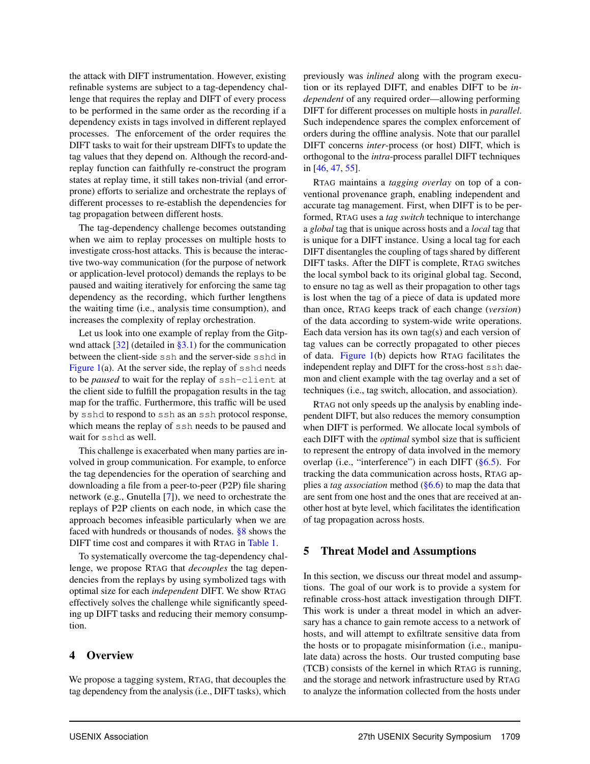the attack with DIFT instrumentation. However, existing refinable systems are subject to a tag-dependency challenge that requires the replay and DIFT of every process to be performed in the same order as the recording if a dependency exists in tags involved in different replayed processes. The enforcement of the order requires the DIFT tasks to wait for their upstream DIFTs to update the tag values that they depend on. Although the record-andreplay function can faithfully re-construct the program states at replay time, it still takes non-trivial (and errorprone) efforts to serialize and orchestrate the replays of different processes to re-establish the dependencies for tag propagation between different hosts.

The tag-dependency challenge becomes outstanding when we aim to replay processes on multiple hosts to investigate cross-host attacks. This is because the interactive two-way communication (for the purpose of network or application-level protocol) demands the replays to be paused and waiting iteratively for enforcing the same tag dependency as the recording, which further lengthens the waiting time (i.e., analysis time consumption), and increases the complexity of replay orchestration.

Let us look into one example of replay from the Gitpwnd attack  $[32]$  (detailed in [§3.1\)](#page-3-1) for the communication between the client-side ssh and the server-side sshd in Figure  $1(a)$ . At the server side, the replay of sshd needs to be *paused* to wait for the replay of ssh-client at the client side to fulfill the propagation results in the tag map for the traffic. Furthermore, this traffic will be used by sshd to respond to ssh as an ssh protocol response, which means the replay of ssh needs to be paused and wait for sshd as well.

This challenge is exacerbated when many parties are involved in group communication. For example, to enforce the tag dependencies for the operation of searching and downloading a file from a peer-to-peer (P2P) file sharing network (e.g., Gnutella [\[7\]](#page-16-17)), we need to orchestrate the replays of P2P clients on each node, in which case the approach becomes infeasible particularly when we are faced with hundreds or thousands of nodes. [§8](#page-10-1) shows the DIFT time cost and compares it with RTAG in [Table 1.](#page-11-0)

To systematically overcome the tag-dependency challenge, we propose RTAG that *decouples* the tag dependencies from the replays by using symbolized tags with optimal size for each *independent* DIFT. We show RTAG effectively solves the challenge while significantly speeding up DIFT tasks and reducing their memory consumption.

### <span id="page-5-0"></span>4 Overview

We propose a tagging system, RTAG, that decouples the tag dependency from the analysis (i.e., DIFT tasks), which previously was *inlined* along with the program execution or its replayed DIFT, and enables DIFT to be *independent* of any required order—allowing performing DIFT for different processes on multiple hosts in *parallel*. Such independence spares the complex enforcement of orders during the offline analysis. Note that our parallel DIFT concerns *inter*-process (or host) DIFT, which is orthogonal to the *intra*-process parallel DIFT techniques in [\[46,](#page-17-12) [47,](#page-17-10) [55\]](#page-17-11).

RTAG maintains a *tagging overlay* on top of a conventional provenance graph, enabling independent and accurate tag management. First, when DIFT is to be performed, RTAG uses a *tag switch* technique to interchange a *global* tag that is unique across hosts and a *local* tag that is unique for a DIFT instance. Using a local tag for each DIFT disentangles the coupling of tags shared by different DIFT tasks. After the DIFT is complete, RTAG switches the local symbol back to its original global tag. Second, to ensure no tag as well as their propagation to other tags is lost when the tag of a piece of data is updated more than once, RTAG keeps track of each change (*version*) of the data according to system-wide write operations. Each data version has its own tag(s) and each version of tag values can be correctly propagated to other pieces of data. [Figure 1\(](#page-3-2)b) depicts how RTAG facilitates the independent replay and DIFT for the cross-host ssh daemon and client example with the tag overlay and a set of techniques (i.e., tag switch, allocation, and association).

RTAG not only speeds up the analysis by enabling independent DIFT, but also reduces the memory consumption when DIFT is performed. We allocate local symbols of each DIFT with the *optimal* symbol size that is sufficient to represent the entropy of data involved in the memory overlap (i.e., "interference") in each DIFT  $(\S 6.5)$ . For tracking the data communication across hosts, RTAG applies a *tag association* method [\(§6.6\)](#page-8-0) to map the data that are sent from one host and the ones that are received at another host at byte level, which facilitates the identification of tag propagation across hosts.

#### <span id="page-5-1"></span>5 Threat Model and Assumptions

In this section, we discuss our threat model and assumptions. The goal of our work is to provide a system for refinable cross-host attack investigation through DIFT. This work is under a threat model in which an adversary has a chance to gain remote access to a network of hosts, and will attempt to exfiltrate sensitive data from the hosts or to propagate misinformation (i.e., manipulate data) across the hosts. Our trusted computing base (TCB) consists of the kernel in which RTAG is running, and the storage and network infrastructure used by RTAG to analyze the information collected from the hosts under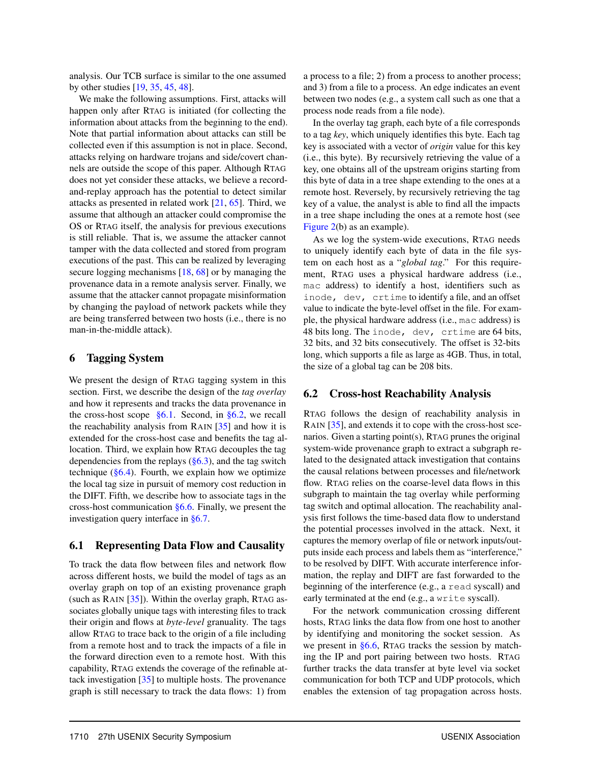analysis. Our TCB surface is similar to the one assumed by other studies [\[19,](#page-16-3) [35,](#page-16-4) [45,](#page-17-0) [48\]](#page-17-13).

We make the following assumptions. First, attacks will happen only after RTAG is initiated (for collecting the information about attacks from the beginning to the end). Note that partial information about attacks can still be collected even if this assumption is not in place. Second, attacks relying on hardware trojans and side/covert channels are outside the scope of this paper. Although RTAG does not yet consider these attacks, we believe a recordand-replay approach has the potential to detect similar attacks as presented in related work [\[21,](#page-16-18) [65\]](#page-17-14). Third, we assume that although an attacker could compromise the OS or RTAG itself, the analysis for previous executions is still reliable. That is, we assume the attacker cannot tamper with the data collected and stored from program executions of the past. This can be realized by leveraging secure logging mechanisms [\[18,](#page-16-19) [68\]](#page-18-0) or by managing the provenance data in a remote analysis server. Finally, we assume that the attacker cannot propagate misinformation by changing the payload of network packets while they are being transferred between two hosts (i.e., there is no man-in-the-middle attack).

## <span id="page-6-0"></span>6 Tagging System

We present the design of RTAG tagging system in this section. First, we describe the design of the *tag overlay* and how it represents and tracks the data provenance in the cross-host scope  $\S6.1$ . Second, in  $\S6.2$ , we recall the reachability analysis from RAIN [\[35\]](#page-16-4) and how it is extended for the cross-host case and benefits the tag allocation. Third, we explain how RTAG decouples the tag dependencies from the replays  $(\S6.3)$ , and the tag switch technique  $(\S6.4)$ . Fourth, we explain how we optimize the local tag size in pursuit of memory cost reduction in the DIFT. Fifth, we describe how to associate tags in the cross-host communication [§6.6.](#page-8-0) Finally, we present the investigation query interface in [§6.7.](#page-9-0)

#### <span id="page-6-1"></span>6.1 Representing Data Flow and Causality

To track the data flow between files and network flow across different hosts, we build the model of tags as an overlay graph on top of an existing provenance graph (such as RAIN [\[35\]](#page-16-4)). Within the overlay graph, RTAG associates globally unique tags with interesting files to track their origin and flows at *byte-level* granuality. The tags allow RTAG to trace back to the origin of a file including from a remote host and to track the impacts of a file in the forward direction even to a remote host. With this capability, RTAG extends the coverage of the refinable attack investigation [\[35\]](#page-16-4) to multiple hosts. The provenance graph is still necessary to track the data flows: 1) from

a process to a file; 2) from a process to another process; and 3) from a file to a process. An edge indicates an event between two nodes (e.g., a system call such as one that a process node reads from a file node).

In the overlay tag graph, each byte of a file corresponds to a tag *key*, which uniquely identifies this byte. Each tag key is associated with a vector of *origin* value for this key (i.e., this byte). By recursively retrieving the value of a key, one obtains all of the upstream origins starting from this byte of data in a tree shape extending to the ones at a remote host. Reversely, by recursively retrieving the tag key of a value, the analyst is able to find all the impacts in a tree shape including the ones at a remote host (see [Figure 2\(](#page-4-0)b) as an example).

As we log the system-wide executions, RTAG needs to uniquely identify each byte of data in the file system on each host as a "*global tag*." For this requirement, RTAG uses a physical hardware address (i.e., mac address) to identify a host, identifiers such as inode, dev, crtime to identify a file, and an offset value to indicate the byte-level offset in the file. For example, the physical hardware address (i.e., mac address) is 48 bits long. The inode, dev, crtime are 64 bits, 32 bits, and 32 bits consecutively. The offset is 32-bits long, which supports a file as large as 4GB. Thus, in total, the size of a global tag can be 208 bits.

#### <span id="page-6-2"></span>6.2 Cross-host Reachability Analysis

RTAG follows the design of reachability analysis in RAIN [\[35\]](#page-16-4), and extends it to cope with the cross-host scenarios. Given a starting point(s), RTAG prunes the original system-wide provenance graph to extract a subgraph related to the designated attack investigation that contains the causal relations between processes and file/network flow. RTAG relies on the coarse-level data flows in this subgraph to maintain the tag overlay while performing tag switch and optimal allocation. The reachability analysis first follows the time-based data flow to understand the potential processes involved in the attack. Next, it captures the memory overlap of file or network inputs/outputs inside each process and labels them as "interference," to be resolved by DIFT. With accurate interference information, the replay and DIFT are fast forwarded to the beginning of the interference (e.g., a read syscall) and early terminated at the end (e.g., a write syscall).

For the network communication crossing different hosts, RTAG links the data flow from one host to another by identifying and monitoring the socket session. As we present in [§6.6,](#page-8-0) RTAG tracks the session by matching the IP and port pairing between two hosts. RTAG further tracks the data transfer at byte level via socket communication for both TCP and UDP protocols, which enables the extension of tag propagation across hosts.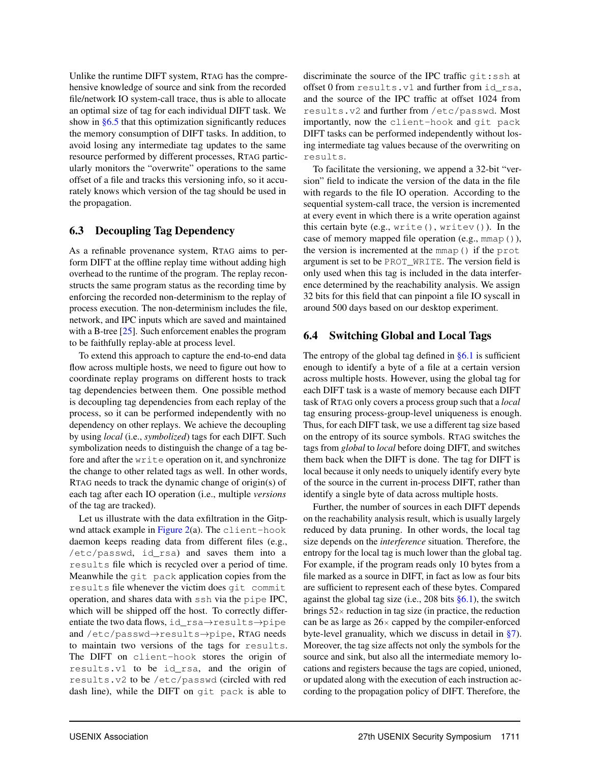Unlike the runtime DIFT system, RTAG has the comprehensive knowledge of source and sink from the recorded file/network IO system-call trace, thus is able to allocate an optimal size of tag for each individual DIFT task. We show in [§6.5](#page-8-1) that this optimization significantly reduces the memory consumption of DIFT tasks. In addition, to avoid losing any intermediate tag updates to the same resource performed by different processes, RTAG particularly monitors the "overwrite" operations to the same offset of a file and tracks this versioning info, so it accurately knows which version of the tag should be used in the propagation.

## <span id="page-7-0"></span>6.3 Decoupling Tag Dependency

As a refinable provenance system, RTAG aims to perform DIFT at the offline replay time without adding high overhead to the runtime of the program. The replay reconstructs the same program status as the recording time by enforcing the recorded non-determinism to the replay of process execution. The non-determinism includes the file, network, and IPC inputs which are saved and maintained with a B-tree [\[25\]](#page-16-5). Such enforcement enables the program to be faithfully replay-able at process level.

To extend this approach to capture the end-to-end data flow across multiple hosts, we need to figure out how to coordinate replay programs on different hosts to track tag dependencies between them. One possible method is decoupling tag dependencies from each replay of the process, so it can be performed independently with no dependency on other replays. We achieve the decoupling by using *local* (i.e., *symbolized*) tags for each DIFT. Such symbolization needs to distinguish the change of a tag before and after the write operation on it, and synchronize the change to other related tags as well. In other words, RTAG needs to track the dynamic change of origin(s) of each tag after each IO operation (i.e., multiple *versions* of the tag are tracked).

Let us illustrate with the data exfiltration in the Gitpwnd attack example in [Figure 2\(](#page-4-0)a). The client-hook daemon keeps reading data from different files (e.g., /etc/passwd, id\_rsa) and saves them into a results file which is recycled over a period of time. Meanwhile the git pack application copies from the results file whenever the victim does git commit operation, and shares data with ssh via the pipe IPC, which will be shipped off the host. To correctly differentiate the two data flows, id\_rsa→results→pipe and /etc/passwd→results→pipe, RTAG needs to maintain two versions of the tags for results. The DIFT on client-hook stores the origin of results.v1 to be id\_rsa, and the origin of results.v2 to be /etc/passwd (circled with red dash line), while the DIFT on git pack is able to

discriminate the source of the IPC traffic git:ssh at offset 0 from results.v1 and further from id\_rsa, and the source of the IPC traffic at offset 1024 from results.v2 and further from /etc/passwd. Most importantly, now the client-hook and git pack DIFT tasks can be performed independently without losing intermediate tag values because of the overwriting on results.

To facilitate the versioning, we append a 32-bit "version" field to indicate the version of the data in the file with regards to the file IO operation. According to the sequential system-call trace, the version is incremented at every event in which there is a write operation against this certain byte (e.g.,  $write(), write())$ . In the case of memory mapped file operation (e.g., mmap()), the version is incremented at the mmap() if the prot argument is set to be PROT\_WRITE. The version field is only used when this tag is included in the data interference determined by the reachability analysis. We assign 32 bits for this field that can pinpoint a file IO syscall in around 500 days based on our desktop experiment.

## <span id="page-7-1"></span>6.4 Switching Global and Local Tags

The entropy of the global tag defined in  $§6.1$  is sufficient enough to identify a byte of a file at a certain version across multiple hosts. However, using the global tag for each DIFT task is a waste of memory because each DIFT task of RTAG only covers a process group such that a *local* tag ensuring process-group-level uniqueness is enough. Thus, for each DIFT task, we use a different tag size based on the entropy of its source symbols. RTAG switches the tags from *global* to *local* before doing DIFT, and switches them back when the DIFT is done. The tag for DIFT is local because it only needs to uniquely identify every byte of the source in the current in-process DIFT, rather than identify a single byte of data across multiple hosts.

Further, the number of sources in each DIFT depends on the reachability analysis result, which is usually largely reduced by data pruning. In other words, the local tag size depends on the *interference* situation. Therefore, the entropy for the local tag is much lower than the global tag. For example, if the program reads only 10 bytes from a file marked as a source in DIFT, in fact as low as four bits are sufficient to represent each of these bytes. Compared against the global tag size (i.e., 208 bits  $\S6.1$ ), the switch brings  $52 \times$  reduction in tag size (in practice, the reduction can be as large as  $26 \times$  capped by the compiler-enforced byte-level granuality, which we discuss in detail in [§7\)](#page-10-0). Moreover, the tag size affects not only the symbols for the source and sink, but also all the intermediate memory locations and registers because the tags are copied, unioned, or updated along with the execution of each instruction according to the propagation policy of DIFT. Therefore, the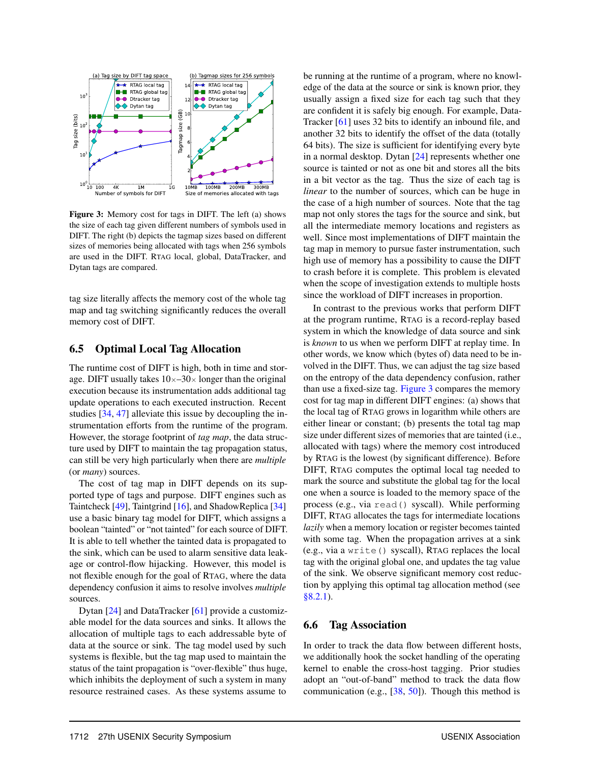<span id="page-8-2"></span>

Figure 3: Memory cost for tags in DIFT. The left (a) shows the size of each tag given different numbers of symbols used in DIFT. The right (b) depicts the tagmap sizes based on different sizes of memories being allocated with tags when 256 symbols are used in the DIFT. RTAG local, global, DataTracker, and Dytan tags are compared.

tag size literally affects the memory cost of the whole tag map and tag switching significantly reduces the overall memory cost of DIFT.

#### <span id="page-8-1"></span>6.5 Optimal Local Tag Allocation

The runtime cost of DIFT is high, both in time and storage. DIFT usually takes  $10\times-30\times$  longer than the original execution because its instrumentation adds additional tag update operations to each executed instruction. Recent studies [\[34,](#page-16-14) [47\]](#page-17-10) alleviate this issue by decoupling the instrumentation efforts from the runtime of the program. However, the storage footprint of *tag map*, the data structure used by DIFT to maintain the tag propagation status, can still be very high particularly when there are *multiple* (or *many*) sources.

The cost of tag map in DIFT depends on its supported type of tags and purpose. DIFT engines such as Taintcheck [\[49\]](#page-17-15), Taintgrind [\[16\]](#page-16-20), and ShadowReplica [\[34\]](#page-16-14) use a basic binary tag model for DIFT, which assigns a boolean "tainted" or "not tainted" for each source of DIFT. It is able to tell whether the tainted data is propagated to the sink, which can be used to alarm sensitive data leakage or control-flow hijacking. However, this model is not flexible enough for the goal of RTAG, where the data dependency confusion it aims to resolve involves *multiple* sources.

Dytan [\[24\]](#page-16-8) and DataTracker [\[61\]](#page-17-16) provide a customizable model for the data sources and sinks. It allows the allocation of multiple tags to each addressable byte of data at the source or sink. The tag model used by such systems is flexible, but the tag map used to maintain the status of the taint propagation is "over-flexible" thus huge, which inhibits the deployment of such a system in many resource restrained cases. As these systems assume to

be running at the runtime of a program, where no knowledge of the data at the source or sink is known prior, they usually assign a fixed size for each tag such that they are confident it is safely big enough. For example, Data-Tracker [\[61\]](#page-17-16) uses 32 bits to identify an inbound file, and another 32 bits to identify the offset of the data (totally 64 bits). The size is sufficient for identifying every byte in a normal desktop. Dytan [\[24\]](#page-16-8) represents whether one source is tainted or not as one bit and stores all the bits in a bit vector as the tag. Thus the size of each tag is *linear* to the number of sources, which can be huge in the case of a high number of sources. Note that the tag map not only stores the tags for the source and sink, but all the intermediate memory locations and registers as well. Since most implementations of DIFT maintain the tag map in memory to pursue faster instrumentation, such high use of memory has a possibility to cause the DIFT to crash before it is complete. This problem is elevated when the scope of investigation extends to multiple hosts since the workload of DIFT increases in proportion.

In contrast to the previous works that perform DIFT at the program runtime, RTAG is a record-replay based system in which the knowledge of data source and sink is *known* to us when we perform DIFT at replay time. In other words, we know which (bytes of) data need to be involved in the DIFT. Thus, we can adjust the tag size based on the entropy of the data dependency confusion, rather than use a fixed-size tag. [Figure 3](#page-8-2) compares the memory cost for tag map in different DIFT engines: (a) shows that the local tag of RTAG grows in logarithm while others are either linear or constant; (b) presents the total tag map size under different sizes of memories that are tainted (i.e., allocated with tags) where the memory cost introduced by RTAG is the lowest (by significant difference). Before DIFT, RTAG computes the optimal local tag needed to mark the source and substitute the global tag for the local one when a source is loaded to the memory space of the process (e.g., via read() syscall). While performing DIFT, RTAG allocates the tags for intermediate locations *lazily* when a memory location or register becomes tainted with some tag. When the propagation arrives at a sink (e.g., via a write() syscall), RTAG replaces the local tag with the original global one, and updates the tag value of the sink. We observe significant memory cost reduction by applying this optimal tag allocation method (see [§8.2.1\)](#page-12-0).

#### <span id="page-8-0"></span>6.6 Tag Association

In order to track the data flow between different hosts, we additionally hook the socket handling of the operating kernel to enable the cross-host tagging. Prior studies adopt an "out-of-band" method to track the data flow communication (e.g., [\[38,](#page-16-21) [50\]](#page-17-3)). Though this method is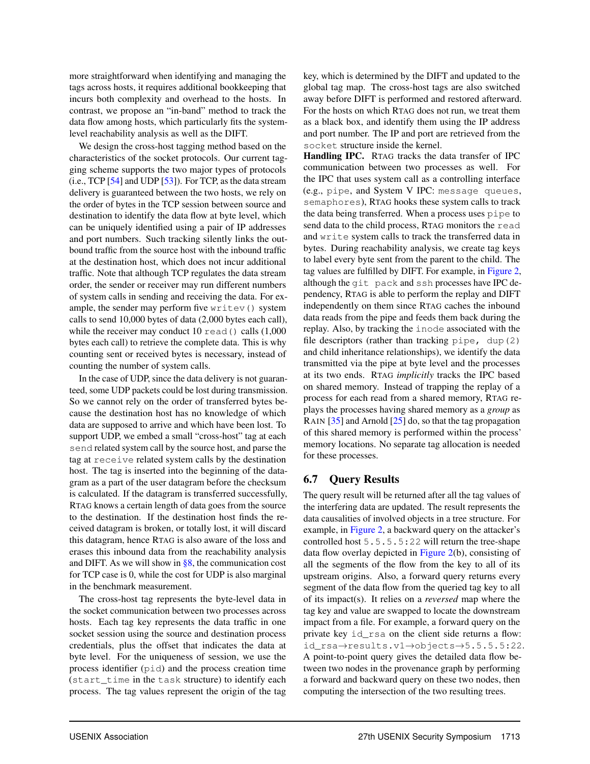more straightforward when identifying and managing the tags across hosts, it requires additional bookkeeping that incurs both complexity and overhead to the hosts. In contrast, we propose an "in-band" method to track the data flow among hosts, which particularly fits the systemlevel reachability analysis as well as the DIFT.

We design the cross-host tagging method based on the characteristics of the socket protocols. Our current tagging scheme supports the two major types of protocols  $(i.e., TCP [54] and UDP [53]).$  $(i.e., TCP [54] and UDP [53]).$  $(i.e., TCP [54] and UDP [53]).$  $(i.e., TCP [54] and UDP [53]).$  $(i.e., TCP [54] and UDP [53]).$  For TCP, as the data stream delivery is guaranteed between the two hosts, we rely on the order of bytes in the TCP session between source and destination to identify the data flow at byte level, which can be uniquely identified using a pair of IP addresses and port numbers. Such tracking silently links the outbound traffic from the source host with the inbound traffic at the destination host, which does not incur additional traffic. Note that although TCP regulates the data stream order, the sender or receiver may run different numbers of system calls in sending and receiving the data. For example, the sender may perform five writev() system calls to send 10,000 bytes of data (2,000 bytes each call), while the receiver may conduct 10  $\text{read}$  () calls (1,000 bytes each call) to retrieve the complete data. This is why counting sent or received bytes is necessary, instead of counting the number of system calls.

In the case of UDP, since the data delivery is not guaranteed, some UDP packets could be lost during transmission. So we cannot rely on the order of transferred bytes because the destination host has no knowledge of which data are supposed to arrive and which have been lost. To support UDP, we embed a small "cross-host" tag at each send related system call by the source host, and parse the tag at receive related system calls by the destination host. The tag is inserted into the beginning of the datagram as a part of the user datagram before the checksum is calculated. If the datagram is transferred successfully, RTAG knows a certain length of data goes from the source to the destination. If the destination host finds the received datagram is broken, or totally lost, it will discard this datagram, hence RTAG is also aware of the loss and erases this inbound data from the reachability analysis and DIFT. As we will show in  $\S 8$ , the communication cost for TCP case is 0, while the cost for UDP is also marginal in the benchmark measurement.

The cross-host tag represents the byte-level data in the socket communication between two processes across hosts. Each tag key represents the data traffic in one socket session using the source and destination process credentials, plus the offset that indicates the data at byte level. For the uniqueness of session, we use the process identifier (pid) and the process creation time (start\_time in the task structure) to identify each process. The tag values represent the origin of the tag key, which is determined by the DIFT and updated to the global tag map. The cross-host tags are also switched away before DIFT is performed and restored afterward. For the hosts on which RTAG does not run, we treat them as a black box, and identify them using the IP address and port number. The IP and port are retrieved from the socket structure inside the kernel.

Handling IPC. RTAG tracks the data transfer of IPC communication between two processes as well. For the IPC that uses system call as a controlling interface (e.g., pipe, and System V IPC: message queues, semaphores), RTAG hooks these system calls to track the data being transferred. When a process uses pipe to send data to the child process, RTAG monitors the read and write system calls to track the transferred data in bytes. During reachability analysis, we create tag keys to label every byte sent from the parent to the child. The tag values are fulfilled by DIFT. For example, in [Figure 2,](#page-4-0) although the git pack and ssh processes have IPC dependency, RTAG is able to perform the replay and DIFT independently on them since RTAG caches the inbound data reads from the pipe and feeds them back during the replay. Also, by tracking the inode associated with the file descriptors (rather than tracking  $\nu$ ipe, dup(2) and child inheritance relationships), we identify the data transmitted via the pipe at byte level and the processes at its two ends. RTAG *implicitly* tracks the IPC based on shared memory. Instead of trapping the replay of a process for each read from a shared memory, RTAG replays the processes having shared memory as a *group* as RAIN [\[35\]](#page-16-4) and Arnold [\[25\]](#page-16-5) do, so that the tag propagation of this shared memory is performed within the process' memory locations. No separate tag allocation is needed for these processes.

## <span id="page-9-0"></span>6.7 Query Results

The query result will be returned after all the tag values of the interfering data are updated. The result represents the data causalities of involved objects in a tree structure. For example, in [Figure 2,](#page-4-0) a backward query on the attacker's controlled host 5.5.5.5:22 will return the tree-shape data flow overlay depicted in [Figure 2\(](#page-4-0)b), consisting of all the segments of the flow from the key to all of its upstream origins. Also, a forward query returns every segment of the data flow from the queried tag key to all of its impact(s). It relies on a *reversed* map where the tag key and value are swapped to locate the downstream impact from a file. For example, a forward query on the private key id\_rsa on the client side returns a flow: id\_rsa→results.v1→objects→5.5.5.5:22. A point-to-point query gives the detailed data flow between two nodes in the provenance graph by performing a forward and backward query on these two nodes, then computing the intersection of the two resulting trees.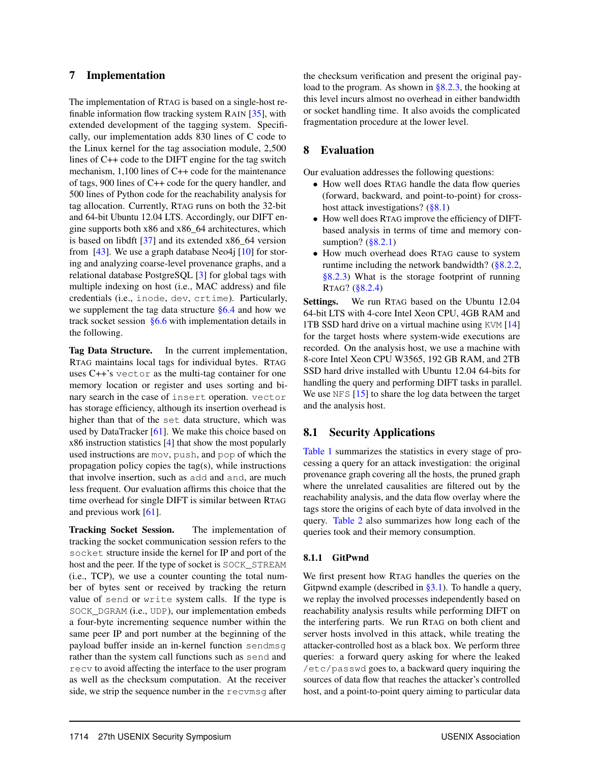## <span id="page-10-0"></span>7 Implementation

The implementation of RTAG is based on a single-host refinable information flow tracking system RAIN [\[35\]](#page-16-4), with extended development of the tagging system. Specifically, our implementation adds 830 lines of C code to the Linux kernel for the tag association module, 2,500 lines of C++ code to the DIFT engine for the tag switch mechanism, 1,100 lines of C++ code for the maintenance of tags, 900 lines of C++ code for the query handler, and 500 lines of Python code for the reachability analysis for tag allocation. Currently, RTAG runs on both the 32-bit and 64-bit Ubuntu 12.04 LTS. Accordingly, our DIFT engine supports both x86 and x86\_64 architectures, which is based on libdft [\[37\]](#page-16-15) and its extended x86\_64 version from [\[43\]](#page-17-19). We use a graph database Neo4j  $[10]$  for storing and analyzing coarse-level provenance graphs, and a relational database PostgreSQL [\[3\]](#page-15-1) for global tags with multiple indexing on host (i.e., MAC address) and file credentials (i.e., inode, dev, crtime). Particularly, we supplement the tag data structure [§6.4](#page-7-1) and how we track socket session [§6.6](#page-8-0) with implementation details in the following.

Tag Data Structure. In the current implementation, RTAG maintains local tags for individual bytes. RTAG uses C++'s vector as the multi-tag container for one memory location or register and uses sorting and binary search in the case of insert operation. vector has storage efficiency, although its insertion overhead is higher than that of the set data structure, which was used by DataTracker [\[61\]](#page-17-16). We make this choice based on x86 instruction statistics [\[4\]](#page-15-2) that show the most popularly used instructions are mov, push, and pop of which the propagation policy copies the tag(s), while instructions that involve insertion, such as add and and, are much less frequent. Our evaluation affirms this choice that the time overhead for single DIFT is similar between RTAG and previous work [\[61\]](#page-17-16).

Tracking Socket Session. The implementation of tracking the socket communication session refers to the socket structure inside the kernel for IP and port of the host and the peer. If the type of socket is SOCK\_STREAM (i.e., TCP), we use a counter counting the total number of bytes sent or received by tracking the return value of send or write system calls. If the type is SOCK\_DGRAM (i.e., UDP), our implementation embeds a four-byte incrementing sequence number within the same peer IP and port number at the beginning of the payload buffer inside an in-kernel function sendmsg rather than the system call functions such as send and recv to avoid affecting the interface to the user program as well as the checksum computation. At the receiver side, we strip the sequence number in the recvmsg after

the checksum verification and present the original payload to the program. As shown in  $\S 8.2.3$ , the hooking at this level incurs almost no overhead in either bandwidth or socket handling time. It also avoids the complicated fragmentation procedure at the lower level.

## <span id="page-10-1"></span>8 Evaluation

Our evaluation addresses the following questions:

- How well does RTAG handle the data flow queries (forward, backward, and point-to-point) for crosshost attack investigations? [\(§8.1\)](#page-10-2)
- How well does RTAG improve the efficiency of DIFTbased analysis in terms of time and memory consumption?  $(\S 8.2.1)$
- How much overhead does RTAG cause to system runtime including the network bandwidth? [\(§8.2.2,](#page-13-0) [§8.2.3\)](#page-14-1) What is the storage footprint of running RTAG? [\(§8.2.4\)](#page-14-2)

Settings. We run RTAG based on the Ubuntu 12.04 64-bit LTS with 4-core Intel Xeon CPU, 4GB RAM and 1TB SSD hard drive on a virtual machine using KVM [\[14\]](#page-16-23) for the target hosts where system-wide executions are recorded. On the analysis host, we use a machine with 8-core Intel Xeon CPU W3565, 192 GB RAM, and 2TB SSD hard drive installed with Ubuntu 12.04 64-bits for handling the query and performing DIFT tasks in parallel. We use NFS  $[15]$  to share the log data between the target and the analysis host.

## <span id="page-10-2"></span>8.1 Security Applications

[Table 1](#page-11-0) summarizes the statistics in every stage of processing a query for an attack investigation: the original provenance graph covering all the hosts, the pruned graph where the unrelated causalities are filtered out by the reachability analysis, and the data flow overlay where the tags store the origins of each byte of data involved in the query. [Table 2](#page-11-1) also summarizes how long each of the queries took and their memory consumption.

#### 8.1.1 GitPwnd

We first present how RTAG handles the queries on the Gitpwnd example (described in [§3.1\)](#page-3-1). To handle a query, we replay the involved processes independently based on reachability analysis results while performing DIFT on the interfering parts. We run RTAG on both client and server hosts involved in this attack, while treating the attacker-controlled host as a black box. We perform three queries: a forward query asking for where the leaked /etc/passwd goes to, a backward query inquiring the sources of data flow that reaches the attacker's controlled host, and a point-to-point query aiming to particular data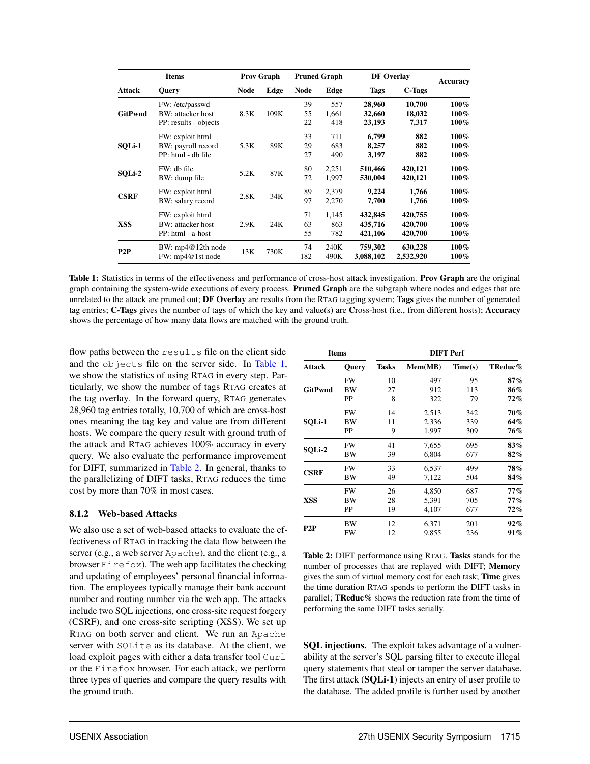<span id="page-11-0"></span>

| <b>Items</b>   |                                       | <b>Prov Graph</b> |      | <b>Pruned Graph</b> |       | <b>DF</b> Overlay |               | Accuracy |
|----------------|---------------------------------------|-------------------|------|---------------------|-------|-------------------|---------------|----------|
| <b>Attack</b>  | Query                                 | <b>Node</b>       | Edge | <b>Node</b>         | Edge  | <b>Tags</b>       | <b>C-Tags</b> |          |
|                | FW: /etc/passwd                       |                   |      | 39                  | 557   | 28,960            | 10,700        | $100\%$  |
| <b>GitPwnd</b> | BW: attacker host                     | 8.3K              | 109K | 55                  | 1,661 | 32,660            | 18,032        | $100\%$  |
|                | PP: results - objects                 |                   |      | 22                  | 418   | 23,193            | 7,317         | $100\%$  |
|                | FW: exploit html                      |                   |      | 33                  | 711   | 6,799             | 882           | 100%     |
| SQLi-1         | BW: payroll record                    | 5.3K              | 89K  | 29                  | 683   | 8,257             | 882           | 100%     |
|                | PP: html - db file                    |                   |      | 27                  | 490   | 3,197             | 882           | 100%     |
|                | FW: db file                           |                   |      | 80                  | 2,251 | 510,466           | 420,121       | 100%     |
| SQLi-2         | BW: dump file                         | 5.2K              | 87K  | 72                  | 1,997 | 530,004           | 420,121       | $100\%$  |
| <b>CSRF</b>    | FW: exploit html                      | 2.8K              | 34K  | 89                  | 2,379 | 9,224             | 1,766         | 100%     |
|                | BW: salary record                     |                   |      | 97                  | 2,270 | 7,700             | 1,766         | $100\%$  |
|                | FW: exploit html                      | 2.9K              | 24K  | 71                  | 1,145 | 432,845           | 420,755       | 100%     |
| XSS            | BW: attacker host                     |                   |      | 63                  | 863   | 435,716           | 420,700       | 100%     |
|                | PP: html - a-host                     |                   |      | 55                  | 782   | 421,106           | 420,700       | 100%     |
| P2P            | BW: mp4@12th node<br>FW: mp4@1st node | 13K               | 730K | 74                  | 240K  | 759,302           | 630,228       | 100%     |
|                |                                       |                   |      | 182                 | 490K  | 3,088,102         | 2,532,920     | 100%     |

Table 1: Statistics in terms of the effectiveness and performance of cross-host attack investigation. Prov Graph are the original graph containing the system-wide executions of every process. Pruned Graph are the subgraph where nodes and edges that are unrelated to the attack are pruned out; DF Overlay are results from the RTAG tagging system; Tags gives the number of generated tag entries; C-Tags gives the number of tags of which the key and value(s) are Cross-host (i.e., from different hosts); Accuracy shows the percentage of how many data flows are matched with the ground truth.

flow paths between the results file on the client side and the objects file on the server side. In [Table 1,](#page-11-0) we show the statistics of using RTAG in every step. Particularly, we show the number of tags RTAG creates at the tag overlay. In the forward query, RTAG generates 28,960 tag entries totally, 10,700 of which are cross-host ones meaning the tag key and value are from different hosts. We compare the query result with ground truth of the attack and RTAG achieves 100% accuracy in every query. We also evaluate the performance improvement for DIFT, summarized in [Table 2.](#page-11-1) In general, thanks to the parallelizing of DIFT tasks, RTAG reduces the time cost by more than 70% in most cases.

#### 8.1.2 Web-based Attacks

We also use a set of web-based attacks to evaluate the effectiveness of RTAG in tracking the data flow between the server (e.g., a web server Apache), and the client (e.g., a browser  $Firef$ ox). The web app facilitates the checking and updating of employees' personal financial information. The employees typically manage their bank account number and routing number via the web app. The attacks include two SQL injections, one cross-site request forgery (CSRF), and one cross-site scripting (XSS). We set up RTAG on both server and client. We run an Apache server with SQLite as its database. At the client, we load exploit pages with either a data transfer tool Curl or the Firefox browser. For each attack, we perform three types of queries and compare the query results with the ground truth.

<span id="page-11-1"></span>

| <b>Items</b>   |              | <b>DIFT</b> Perf |         |         |             |  |  |
|----------------|--------------|------------------|---------|---------|-------------|--|--|
| Attack         | <b>Query</b> | <b>Tasks</b>     | Mem(MB) | Time(s) | TReduc $\%$ |  |  |
|                | FW           | 10               | 497     | 95      | 87%         |  |  |
| <b>GitPwnd</b> | BW           | 27               | 912     | 113     | 86%         |  |  |
|                | <b>PP</b>    | 8                | 322     | 79      | 72%         |  |  |
|                | FW           | 14               | 2,513   | 342     | 70%         |  |  |
| <b>SOLi-1</b>  | BW           | 11               | 2,336   | 339     | 64%         |  |  |
|                | PP           | 9                | 1,997   | 309     | 76%         |  |  |
|                | FW           | 41               | 7,655   | 695     | 83%         |  |  |
| SOLi-2         | ВW           | 39               | 6.804   | 677     | $82\%$      |  |  |
|                | FW           | 33               | 6,537   | 499     | 78%         |  |  |
| <b>CSRF</b>    | BW           | 49               | 7,122   | 504     | 84%         |  |  |
|                | FW           | 26               | 4,850   | 687     | 77%         |  |  |
| XSS            | <b>BW</b>    | 28               | 5,391   | 705     | $77\%$      |  |  |
|                | PP           | 19               | 4,107   | 677     | 72%         |  |  |
|                | BW           | 12               | 6,371   | 201     | $92\%$      |  |  |
| P2P            | FW           | 12               | 9,855   | 236     | 91%         |  |  |

Table 2: DIFT performance using RTAG. Tasks stands for the number of processes that are replayed with DIFT; Memory gives the sum of virtual memory cost for each task; Time gives the time duration RTAG spends to perform the DIFT tasks in parallel; TReduc% shows the reduction rate from the time of performing the same DIFT tasks serially.

SQL injections. The exploit takes advantage of a vulnerability at the server's SQL parsing filter to execute illegal query statements that steal or tamper the server database. The first attack (SQLi-1) injects an entry of user profile to the database. The added profile is further used by another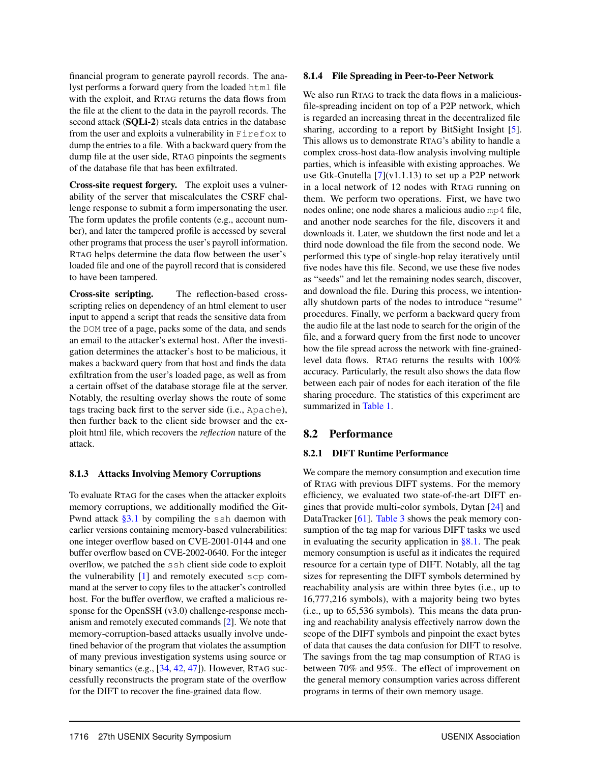financial program to generate payroll records. The analyst performs a forward query from the loaded html file with the exploit, and RTAG returns the data flows from the file at the client to the data in the payroll records. The second attack (SQLi-2) steals data entries in the database from the user and exploits a vulnerability in Firefox to dump the entries to a file. With a backward query from the dump file at the user side, RTAG pinpoints the segments of the database file that has been exfiltrated.

Cross-site request forgery. The exploit uses a vulnerability of the server that miscalculates the CSRF challenge response to submit a form impersonating the user. The form updates the profile contents (e.g., account number), and later the tampered profile is accessed by several other programs that process the user's payroll information. RTAG helps determine the data flow between the user's loaded file and one of the payroll record that is considered to have been tampered.

Cross-site scripting. The reflection-based crossscripting relies on dependency of an html element to user input to append a script that reads the sensitive data from the DOM tree of a page, packs some of the data, and sends an email to the attacker's external host. After the investigation determines the attacker's host to be malicious, it makes a backward query from that host and finds the data exfiltration from the user's loaded page, as well as from a certain offset of the database storage file at the server. Notably, the resulting overlay shows the route of some tags tracing back first to the server side (i.e., Apache), then further back to the client side browser and the exploit html file, which recovers the *reflection* nature of the attack.

#### 8.1.3 Attacks Involving Memory Corruptions

To evaluate RTAG for the cases when the attacker exploits memory corruptions, we additionally modified the Git-Pwnd attack  $\S 3.1$  by compiling the ssh daemon with earlier versions containing memory-based vulnerabilities: one integer overflow based on CVE-2001-0144 and one buffer overflow based on CVE-2002-0640. For the integer overflow, we patched the ssh client side code to exploit the vulnerability [\[1\]](#page-15-3) and remotely executed scp command at the server to copy files to the attacker's controlled host. For the buffer overflow, we crafted a malicious response for the OpenSSH (v3.0) challenge-response mechanism and remotely executed commands [\[2\]](#page-15-4). We note that memory-corruption-based attacks usually involve undefined behavior of the program that violates the assumption of many previous investigation systems using source or binary semantics (e.g., [\[34,](#page-16-14) [42,](#page-17-2) [47\]](#page-17-10)). However, RTAG successfully reconstructs the program state of the overflow for the DIFT to recover the fine-grained data flow.

### 8.1.4 File Spreading in Peer-to-Peer Network

We also run RTAG to track the data flows in a maliciousfile-spreading incident on top of a P2P network, which is regarded an increasing threat in the decentralized file sharing, according to a report by BitSight Insight [\[5\]](#page-15-5). This allows us to demonstrate RTAG's ability to handle a complex cross-host data-flow analysis involving multiple parties, which is infeasible with existing approaches. We use Gtk-Gnutella  $[7](v1.1.13)$  $[7](v1.1.13)$  to set up a P2P network in a local network of 12 nodes with RTAG running on them. We perform two operations. First, we have two nodes online; one node shares a malicious audio mp4 file, and another node searches for the file, discovers it and downloads it. Later, we shutdown the first node and let a third node download the file from the second node. We performed this type of single-hop relay iteratively until five nodes have this file. Second, we use these five nodes as "seeds" and let the remaining nodes search, discover, and download the file. During this process, we intentionally shutdown parts of the nodes to introduce "resume" procedures. Finally, we perform a backward query from the audio file at the last node to search for the origin of the file, and a forward query from the first node to uncover how the file spread across the network with fine-grainedlevel data flows. RTAG returns the results with 100% accuracy. Particularly, the result also shows the data flow between each pair of nodes for each iteration of the file sharing procedure. The statistics of this experiment are summarized in [Table 1.](#page-11-0)

## 8.2 Performance

## <span id="page-12-0"></span>8.2.1 DIFT Runtime Performance

We compare the memory consumption and execution time of RTAG with previous DIFT systems. For the memory efficiency, we evaluated two state-of-the-art DIFT engines that provide multi-color symbols, Dytan [\[24\]](#page-16-8) and DataTracker [\[61\]](#page-17-16). [Table 3](#page-13-1) shows the peak memory consumption of the tag map for various DIFT tasks we used in evaluating the security application in  $\S 8.1$ . The peak memory consumption is useful as it indicates the required resource for a certain type of DIFT. Notably, all the tag sizes for representing the DIFT symbols determined by reachability analysis are within three bytes (i.e., up to 16,777,216 symbols), with a majority being two bytes (i.e., up to 65,536 symbols). This means the data pruning and reachability analysis effectively narrow down the scope of the DIFT symbols and pinpoint the exact bytes of data that causes the data confusion for DIFT to resolve. The savings from the tag map consumption of RTAG is between 70% and 95%. The effect of improvement on the general memory consumption varies across different programs in terms of their own memory usage.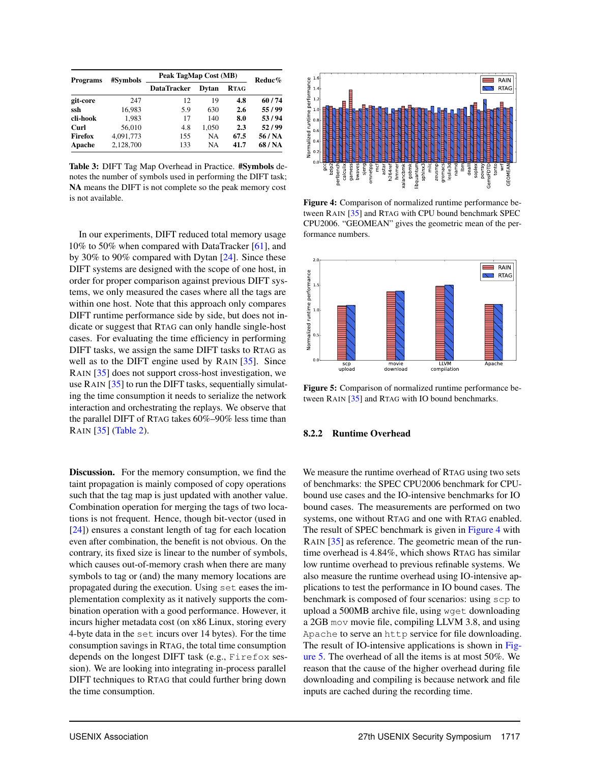<span id="page-13-1"></span>

| <b>Programs</b> | #Symbols  | Peak TagMap Cost (MB) | Reduc% |             |         |
|-----------------|-----------|-----------------------|--------|-------------|---------|
|                 |           | <b>DataTracker</b>    | Dvtan  | <b>RTAG</b> |         |
| git-core        | 247       | 12                    | 19     | 4.8         | 60/74   |
| ssh             | 16.983    | 5.9                   | 630    | 2.6         | 55/99   |
| cli-hook        | 1.983     | 17                    | 140    | 8.0         | 53/94   |
| Curl            | 56,010    | 4.8                   | 1.050  | 2.3         | 52/99   |
| Firefox         | 4,091,773 | 155                   | NA.    | 67.5        | 56 / NA |
| Apache          | 2.128.700 | 133                   | NA     | 41.7        | 68 / NA |

Table 3: DIFT Tag Map Overhead in Practice. #Symbols denotes the number of symbols used in performing the DIFT task; NA means the DIFT is not complete so the peak memory cost is not available.

In our experiments, DIFT reduced total memory usage 10% to 50% when compared with DataTracker [\[61\]](#page-17-16), and by 30% to 90% compared with Dytan [\[24\]](#page-16-8). Since these DIFT systems are designed with the scope of one host, in order for proper comparison against previous DIFT systems, we only measured the cases where all the tags are within one host. Note that this approach only compares DIFT runtime performance side by side, but does not indicate or suggest that RTAG can only handle single-host cases. For evaluating the time efficiency in performing DIFT tasks, we assign the same DIFT tasks to RTAG as well as to the DIFT engine used by RAIN [\[35\]](#page-16-4). Since RAIN [\[35\]](#page-16-4) does not support cross-host investigation, we use RAIN [\[35\]](#page-16-4) to run the DIFT tasks, sequentially simulating the time consumption it needs to serialize the network interaction and orchestrating the replays. We observe that the parallel DIFT of RTAG takes 60%–90% less time than RAIN [\[35\]](#page-16-4) [\(Table 2\)](#page-11-1).

Discussion. For the memory consumption, we find the taint propagation is mainly composed of copy operations such that the tag map is just updated with another value. Combination operation for merging the tags of two locations is not frequent. Hence, though bit-vector (used in [\[24\]](#page-16-8)) ensures a constant length of tag for each location even after combination, the benefit is not obvious. On the contrary, its fixed size is linear to the number of symbols, which causes out-of-memory crash when there are many symbols to tag or (and) the many memory locations are propagated during the execution. Using set eases the implementation complexity as it natively supports the combination operation with a good performance. However, it incurs higher metadata cost (on x86 Linux, storing every 4-byte data in the set incurs over 14 bytes). For the time consumption savings in RTAG, the total time consumption depends on the longest DIFT task (e.g., Firefox session). We are looking into integrating in-process parallel DIFT techniques to RTAG that could further bring down the time consumption.

<span id="page-13-2"></span>

Figure 4: Comparison of normalized runtime performance between RAIN [\[35\]](#page-16-4) and RTAG with CPU bound benchmark SPEC CPU2006. "GEOMEAN" gives the geometric mean of the performance numbers.

<span id="page-13-3"></span>

Figure 5: Comparison of normalized runtime performance between RAIN [\[35\]](#page-16-4) and RTAG with IO bound benchmarks.

#### <span id="page-13-0"></span>8.2.2 Runtime Overhead

We measure the runtime overhead of RTAG using two sets of benchmarks: the SPEC CPU2006 benchmark for CPUbound use cases and the IO-intensive benchmarks for IO bound cases. The measurements are performed on two systems, one without RTAG and one with RTAG enabled. The result of SPEC benchmark is given in [Figure 4](#page-13-2) with RAIN [\[35\]](#page-16-4) as reference. The geometric mean of the runtime overhead is 4.84%, which shows RTAG has similar low runtime overhead to previous refinable systems. We also measure the runtime overhead using IO-intensive applications to test the performance in IO bound cases. The benchmark is composed of four scenarios: using scp to upload a 500MB archive file, using wget downloading a 2GB mov movie file, compiling LLVM 3.8, and using Apache to serve an http service for file downloading. The result of IO-intensive applications is shown in [Fig](#page-13-3)[ure 5.](#page-13-3) The overhead of all the items is at most 50%. We reason that the cause of the higher overhead during file downloading and compiling is because network and file inputs are cached during the recording time.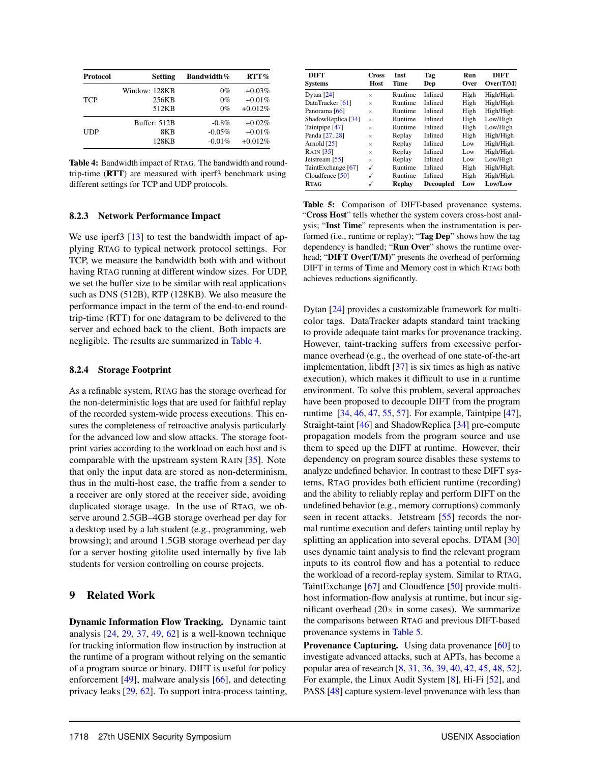<span id="page-14-3"></span>

| <b>Protocol</b> | Setting       | <b>Bandwidth%</b> | $RTT\%$   |
|-----------------|---------------|-------------------|-----------|
|                 | Window: 128KB | $0\%$             | $+0.03%$  |
| <b>TCP</b>      | 256KB         | $0\%$             | $+0.01\%$ |
|                 | 512KB         | $0\%$             | $+0.012%$ |
|                 | Buffer: 512B  | $-0.8%$           | $+0.02\%$ |
| UDP             | 8KB           | $-0.05%$          | $+0.01%$  |
|                 | 128KB         | $-0.01%$          | $+0.012%$ |

Table 4: Bandwidth impact of RTAG. The bandwidth and roundtrip-time (RTT) are measured with iperf3 benchmark using different settings for TCP and UDP protocols.

#### <span id="page-14-1"></span>8.2.3 Network Performance Impact

We use iperf3 [\[13\]](#page-16-25) to test the bandwidth impact of applying RTAG to typical network protocol settings. For TCP, we measure the bandwidth both with and without having RTAG running at different window sizes. For UDP, we set the buffer size to be similar with real applications such as DNS (512B), RTP (128KB). We also measure the performance impact in the term of the end-to-end roundtrip-time (RTT) for one datagram to be delivered to the server and echoed back to the client. Both impacts are negligible. The results are summarized in [Table 4.](#page-14-3)

#### <span id="page-14-2"></span>8.2.4 Storage Footprint

As a refinable system, RTAG has the storage overhead for the non-deterministic logs that are used for faithful replay of the recorded system-wide process executions. This ensures the completeness of retroactive analysis particularly for the advanced low and slow attacks. The storage footprint varies according to the workload on each host and is comparable with the upstream system RAIN [\[35\]](#page-16-4). Note that only the input data are stored as non-determinism, thus in the multi-host case, the traffic from a sender to a receiver are only stored at the receiver side, avoiding duplicated storage usage. In the use of RTAG, we observe around 2.5GB–4GB storage overhead per day for a desktop used by a lab student (e.g., programming, web browsing); and around 1.5GB storage overhead per day for a server hosting gitolite used internally by five lab students for version controlling on course projects.

## <span id="page-14-0"></span>9 Related Work

Dynamic Information Flow Tracking. Dynamic taint analysis [\[24,](#page-16-8) [29,](#page-16-26) [37,](#page-16-15) [49,](#page-17-15) [62\]](#page-17-20) is a well-known technique for tracking information flow instruction by instruction at the runtime of a program without relying on the semantic of a program source or binary. DIFT is useful for policy enforcement [\[49\]](#page-17-15), malware analysis [\[66\]](#page-17-5), and detecting privacy leaks [\[29,](#page-16-26) [62\]](#page-17-20). To support intra-process tainting,

<span id="page-14-4"></span>

| <b>DIFT</b><br>Svstems | <b>Cross</b><br>Host | Inst<br>Time  | Tag<br>Dep       | Run<br>Over | <b>DIFT</b><br>Over(T/M) |
|------------------------|----------------------|---------------|------------------|-------------|--------------------------|
| Dytan $[24]$           | $\times$             | Runtime       | Inlined          | High        | High/High                |
| DataTracker [61]       | $\times$             | Runtime       | Inlined          | High        | High/High                |
| Panorama [66]          | $\times$             | Runtime       | Inlined          | High        | High/High                |
| ShadowReplica [34]     | $\times$             | Runtime       | Inlined          | High        | Low/High                 |
| Taintpipe [47]         | $\times$             | Runtime       | Inlined          | High        | Low/High                 |
| Panda [27, 28]         | $\times$             | Replay        | Inlined          | High        | High/High                |
| Arnold [25]            | $\times$             | Replay        | Inlined          | Low         | High/High                |
| RAIN [35]              | $\times$             | Replay        | Inlined          | Low         | High/High                |
| Jetstream [55]         | $\times$             | Replay        | Inlined          | Low         | Low/High                 |
| TaintExchange [67]     | ✓                    | Runtime       | Inlined          | High        | High/High                |
| Cloudfence [50]        | ✓                    | Runtime       | Inlined          | High        | High/High                |
| RTAG                   | $\checkmark$         | <b>Replay</b> | <b>Decoupled</b> | Low         | Low/Low                  |

Table 5: Comparison of DIFT-based provenance systems. "Cross Host" tells whether the system covers cross-host analysis; "Inst Time" represents when the instrumentation is performed (i.e., runtime or replay); "Tag Dep" shows how the tag dependency is handled; "Run Over" shows the runtime overhead; "DIFT Over(T/M)" presents the overhead of performing DIFT in terms of Time and Memory cost in which RTAG both achieves reductions significantly.

Dytan [\[24\]](#page-16-8) provides a customizable framework for multicolor tags. DataTracker adapts standard taint tracking to provide adequate taint marks for provenance tracking. However, taint-tracking suffers from excessive performance overhead (e.g., the overhead of one state-of-the-art implementation, libdft [\[37\]](#page-16-15) is six times as high as native execution), which makes it difficult to use in a runtime environment. To solve this problem, several approaches have been proposed to decouple DIFT from the program runtime [\[34,](#page-16-14) [46,](#page-17-12) [47,](#page-17-10) [55,](#page-17-11) [57\]](#page-17-21). For example, Taintpipe [\[47\]](#page-17-10), Straight-taint [\[46\]](#page-17-12) and ShadowReplica [\[34\]](#page-16-14) pre-compute propagation models from the program source and use them to speed up the DIFT at runtime. However, their dependency on program source disables these systems to analyze undefined behavior. In contrast to these DIFT systems, RTAG provides both efficient runtime (recording) and the ability to reliably replay and perform DIFT on the undefined behavior (e.g., memory corruptions) commonly seen in recent attacks. Jetstream [\[55\]](#page-17-11) records the normal runtime execution and defers tainting until replay by splitting an application into several epochs. DTAM [\[30\]](#page-16-28) uses dynamic taint analysis to find the relevant program inputs to its control flow and has a potential to reduce the workload of a record-replay system. Similar to RTAG, TaintExchange [\[67\]](#page-18-2) and Cloudfence [\[50\]](#page-17-3) provide multihost information-flow analysis at runtime, but incur significant overhead  $(20 \times$  in some cases). We summarize the comparisons between RTAG and previous DIFT-based provenance systems in [Table 5.](#page-14-4)

Provenance Capturing. Using data provenance [\[60\]](#page-17-22) to investigate advanced attacks, such at APTs, has become a popular area of research [\[8,](#page-16-7) [31,](#page-16-29) [36,](#page-16-30) [39,](#page-17-23) [40,](#page-17-24) [42,](#page-17-2) [45,](#page-17-0) [48,](#page-17-13) [52\]](#page-17-25). For example, the Linux Audit System [\[8\]](#page-16-7), Hi-Fi [\[52\]](#page-17-25), and PASS [\[48\]](#page-17-13) capture system-level provenance with less than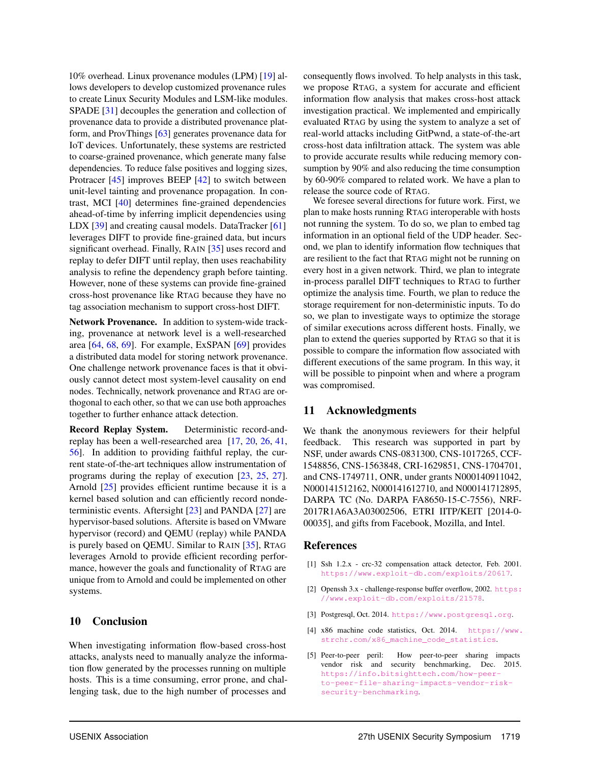10% overhead. Linux provenance modules (LPM) [\[19\]](#page-16-3) allows developers to develop customized provenance rules to create Linux Security Modules and LSM-like modules. SPADE [\[31\]](#page-16-29) decouples the generation and collection of provenance data to provide a distributed provenance platform, and ProvThings [\[63\]](#page-17-26) generates provenance data for IoT devices. Unfortunately, these systems are restricted to coarse-grained provenance, which generate many false dependencies. To reduce false positives and logging sizes, Protracer [\[45\]](#page-17-0) improves BEEP [\[42\]](#page-17-2) to switch between unit-level tainting and provenance propagation. In contrast, MCI [\[40\]](#page-17-24) determines fine-grained dependencies ahead-of-time by inferring implicit dependencies using LDX [\[39\]](#page-17-23) and creating causal models. DataTracker [\[61\]](#page-17-16) leverages DIFT to provide fine-grained data, but incurs significant overhead. Finally, RAIN [\[35\]](#page-16-4) uses record and replay to defer DIFT until replay, then uses reachability analysis to refine the dependency graph before tainting. However, none of these systems can provide fine-grained cross-host provenance like RTAG because they have no tag association mechanism to support cross-host DIFT.

Network Provenance. In addition to system-wide tracking, provenance at network level is a well-researched area [\[64,](#page-17-1) [68,](#page-18-0) [69\]](#page-18-1). For example, ExSPAN [\[69\]](#page-18-1) provides a distributed data model for storing network provenance. One challenge network provenance faces is that it obviously cannot detect most system-level causality on end nodes. Technically, network provenance and RTAG are orthogonal to each other, so that we can use both approaches together to further enhance attack detection.

Record Replay System. Deterministic record-andreplay has been a well-researched area [\[17,](#page-16-31) [20,](#page-16-11) [26,](#page-16-32) [41,](#page-17-27) [56\]](#page-17-9). In addition to providing faithful replay, the current state-of-the-art techniques allow instrumentation of programs during the replay of execution [\[23,](#page-16-12) [25,](#page-16-5) [27\]](#page-16-13). Arnold [\[25\]](#page-16-5) provides efficient runtime because it is a kernel based solution and can efficiently record nondeterministic events. Aftersight [\[23\]](#page-16-12) and PANDA [\[27\]](#page-16-13) are hypervisor-based solutions. Aftersite is based on VMware hypervisor (record) and QEMU (replay) while PANDA is purely based on QEMU. Similar to RAIN [\[35\]](#page-16-4), RTAG leverages Arnold to provide efficient recording performance, however the goals and functionality of RTAG are unique from to Arnold and could be implemented on other systems.

#### <span id="page-15-0"></span>10 Conclusion

When investigating information flow-based cross-host attacks, analysts need to manually analyze the information flow generated by the processes running on multiple hosts. This is a time consuming, error prone, and challenging task, due to the high number of processes and

consequently flows involved. To help analysts in this task, we propose RTAG, a system for accurate and efficient information flow analysis that makes cross-host attack investigation practical. We implemented and empirically evaluated RTAG by using the system to analyze a set of real-world attacks including GitPwnd, a state-of-the-art cross-host data infiltration attack. The system was able to provide accurate results while reducing memory consumption by 90% and also reducing the time consumption by 60-90% compared to related work. We have a plan to release the source code of RTAG.

We foresee several directions for future work. First, we plan to make hosts running RTAG interoperable with hosts not running the system. To do so, we plan to embed tag information in an optional field of the UDP header. Second, we plan to identify information flow techniques that are resilient to the fact that RTAG might not be running on every host in a given network. Third, we plan to integrate in-process parallel DIFT techniques to RTAG to further optimize the analysis time. Fourth, we plan to reduce the storage requirement for non-deterministic inputs. To do so, we plan to investigate ways to optimize the storage of similar executions across different hosts. Finally, we plan to extend the queries supported by RTAG so that it is possible to compare the information flow associated with different executions of the same program. In this way, it will be possible to pinpoint when and where a program was compromised.

#### 11 Acknowledgments

We thank the anonymous reviewers for their helpful feedback. This research was supported in part by NSF, under awards CNS-0831300, CNS-1017265, CCF-1548856, CNS-1563848, CRI-1629851, CNS-1704701, and CNS-1749711, ONR, under grants N000140911042, N000141512162, N000141612710, and N000141712895, DARPA TC (No. DARPA FA8650-15-C-7556), NRF-2017R1A6A3A03002506, ETRI IITP/KEIT [2014-0- 00035], and gifts from Facebook, Mozilla, and Intel.

#### References

- <span id="page-15-3"></span>[1] Ssh 1.2.x - crc-32 compensation attack detector, Feb. 2001. <https://www.exploit-db.com/exploits/20617>.
- <span id="page-15-4"></span>[2] Openssh 3.x - challenge-response buffer overflow, 2002. [https:](https://www.exploit-db.com/exploits/21578) [//www.exploit-db.com/exploits/21578](https://www.exploit-db.com/exploits/21578).
- <span id="page-15-1"></span>[3] Postgresql, Oct. 2014. <https://www.postgresql.org>.
- <span id="page-15-2"></span>[4] x86 machine code statistics, Oct. 2014. [https://www.](https://www.strchr.com/x86_machine_code_statistics) strchr.com/x86 machine code statistics.
- <span id="page-15-5"></span>[5] Peer-to-peer peril: How peer-to-peer sharing impacts vendor risk and security benchmarking, Dec. 2015. [https://info.bitsighttech.com/how-peer](https://info.bitsighttech.com/how-peer-to-peer-file-sharing-impacts-vendor-risk-security-benchmarking)[to-peer-file-sharing-impacts-vendor-risk](https://info.bitsighttech.com/how-peer-to-peer-file-sharing-impacts-vendor-risk-security-benchmarking)[security-benchmarking](https://info.bitsighttech.com/how-peer-to-peer-file-sharing-impacts-vendor-risk-security-benchmarking).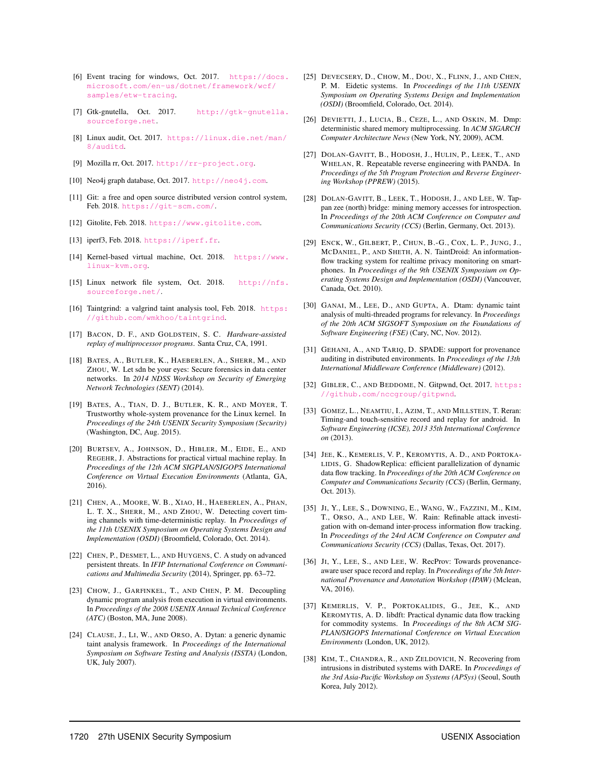- <span id="page-16-6"></span>[6] Event tracing for windows, Oct. 2017. [https://docs.](https://docs.microsoft.com/en-us/dotnet/framework/wcf/samples/etw-tracing) [microsoft.com/en-us/dotnet/framework/wcf/](https://docs.microsoft.com/en-us/dotnet/framework/wcf/samples/etw-tracing) [samples/etw-tracing](https://docs.microsoft.com/en-us/dotnet/framework/wcf/samples/etw-tracing).
- <span id="page-16-17"></span>[7] Gtk-gnutella, Oct. 2017. [http://gtk-gnutella.](http://gtk-gnutella.sourceforge.net) [sourceforge.net](http://gtk-gnutella.sourceforge.net).
- <span id="page-16-7"></span>[8] Linux audit, Oct. 2017. [https://linux.die.net/man/](https://linux.die.net/man/8/auditd) [8/auditd](https://linux.die.net/man/8/auditd).
- <span id="page-16-9"></span>[9] Mozilla rr, Oct. 2017. <http://rr-project.org>.
- <span id="page-16-22"></span>[10] Neo4j graph database, Oct. 2017. <http://neo4j.com>.
- <span id="page-16-2"></span>[11] Git: a free and open source distributed version control system, Feb. 2018. <https://git-scm.com/>.
- <span id="page-16-16"></span>[12] Gitolite, Feb. 2018. <https://www.gitolite.com>.
- <span id="page-16-25"></span>[13] iperf3, Feb. 2018. <https://iperf.fr>.
- <span id="page-16-23"></span>[14] Kernel-based virtual machine, Oct. 2018. [https://www.](https://www.linux-kvm.org) [linux-kvm.org](https://www.linux-kvm.org).
- <span id="page-16-24"></span>[15] Linux network file system, Oct. 2018. [http://nfs.](http://nfs.sourceforge.net/) [sourceforge.net/](http://nfs.sourceforge.net/).
- <span id="page-16-20"></span>[16] Taintgrind: a valgrind taint analysis tool, Feb. 2018. [https:](https://github.com/wmkhoo/taintgrind) [//github.com/wmkhoo/taintgrind](https://github.com/wmkhoo/taintgrind).
- <span id="page-16-31"></span>[17] BACON, D. F., AND GOLDSTEIN, S. C. *Hardware-assisted replay of multiprocessor programs*. Santa Cruz, CA, 1991.
- <span id="page-16-19"></span>[18] BATES, A., BUTLER, K., HAEBERLEN, A., SHERR, M., AND ZHOU, W. Let sdn be your eyes: Secure forensics in data center networks. In *2014 NDSS Workshop on Security of Emerging Network Technologies (SENT)* (2014).
- <span id="page-16-3"></span>[19] BATES, A., TIAN, D. J., BUTLER, K. R., AND MOYER, T. Trustworthy whole-system provenance for the Linux kernel. In *Proceedings of the 24th USENIX Security Symposium (Security)* (Washington, DC, Aug. 2015).
- <span id="page-16-11"></span>[20] BURTSEV, A., JOHNSON, D., HIBLER, M., EIDE, E., AND REGEHR, J. Abstractions for practical virtual machine replay. In *Proceedings of the 12th ACM SIGPLAN/SIGOPS International Conference on Virtual Execution Environments* (Atlanta, GA, 2016).
- <span id="page-16-18"></span>[21] CHEN, A., MOORE, W. B., XIAO, H., HAEBERLEN, A., PHAN, L. T. X., SHERR, M., AND ZHOU, W. Detecting covert timing channels with time-deterministic replay. In *Proceedings of the 11th USENIX Symposium on Operating Systems Design and Implementation (OSDI)* (Broomfield, Colorado, Oct. 2014).
- <span id="page-16-0"></span>[22] CHEN, P., DESMET, L., AND HUYGENS, C. A study on advanced persistent threats. In *IFIP International Conference on Communications and Multimedia Security* (2014), Springer, pp. 63–72.
- <span id="page-16-12"></span>[23] CHOW, J., GARFINKEL, T., AND CHEN, P. M. Decoupling dynamic program analysis from execution in virtual environments. In *Proceedings of the 2008 USENIX Annual Technical Conference (ATC)* (Boston, MA, June 2008).
- <span id="page-16-8"></span>[24] CLAUSE, J., LI, W., AND ORSO, A. Dytan: a generic dynamic taint analysis framework. In *Proceedings of the International Symposium on Software Testing and Analysis (ISSTA)* (London, UK, July 2007).
- <span id="page-16-5"></span>[25] DEVECSERY, D., CHOW, M., DOU, X., FLINN, J., AND CHEN, P. M. Eidetic systems. In *Proceedings of the 11th USENIX Symposium on Operating Systems Design and Implementation (OSDI)* (Broomfield, Colorado, Oct. 2014).
- <span id="page-16-32"></span>[26] DEVIETTI, J., LUCIA, B., CEZE, L., AND OSKIN, M. Dmp: deterministic shared memory multiprocessing. In *ACM SIGARCH Computer Architecture News* (New York, NY, 2009), ACM.
- <span id="page-16-13"></span>[27] DOLAN-GAVITT, B., HODOSH, J., HULIN, P., LEEK, T., AND WHELAN, R. Repeatable reverse engineering with PANDA. In *Proceedings of the 5th Program Protection and Reverse Engineering Workshop (PPREW)* (2015).
- <span id="page-16-27"></span>[28] DOLAN-GAVITT, B., LEEK, T., HODOSH, J., AND LEE, W. Tappan zee (north) bridge: mining memory accesses for introspection. In *Proceedings of the 20th ACM Conference on Computer and Communications Security (CCS)* (Berlin, Germany, Oct. 2013).
- <span id="page-16-26"></span>[29] ENCK, W., GILBERT, P., CHUN, B.-G., COX, L. P., JUNG, J., MCDANIEL, P., AND SHETH, A. N. TaintDroid: An informationflow tracking system for realtime privacy monitoring on smartphones. In *Proceedings of the 9th USENIX Symposium on Operating Systems Design and Implementation (OSDI)* (Vancouver, Canada, Oct. 2010).
- <span id="page-16-28"></span>[30] GANAI, M., LEE, D., AND GUPTA, A. Dtam: dynamic taint analysis of multi-threaded programs for relevancy. In *Proceedings of the 20th ACM SIGSOFT Symposium on the Foundations of Software Engineering (FSE)* (Cary, NC, Nov. 2012).
- <span id="page-16-29"></span>[31] GEHANI, A., AND TARIQ, D. SPADE: support for provenance auditing in distributed environments. In *Proceedings of the 13th International Middleware Conference (Middleware)* (2012).
- <span id="page-16-1"></span>[32] GIBLER, C., AND BEDDOME, N. Gitpwnd, Oct. 2017. [https:](https://github.com/nccgroup/gitpwnd) [//github.com/nccgroup/gitpwnd](https://github.com/nccgroup/gitpwnd).
- <span id="page-16-10"></span>[33] GOMEZ, L., NEAMTIU, I., AZIM, T., AND MILLSTEIN, T. Reran: Timing-and touch-sensitive record and replay for android. In *Software Engineering (ICSE), 2013 35th International Conference on* (2013).
- <span id="page-16-14"></span>[34] JEE, K., KEMERLIS, V. P., KEROMYTIS, A. D., AND PORTOKA-LIDIS, G. ShadowReplica: efficient parallelization of dynamic data flow tracking. In *Proceedings of the 20th ACM Conference on Computer and Communications Security (CCS)* (Berlin, Germany, Oct. 2013).
- <span id="page-16-4"></span>[35] JI, Y., LEE, S., DOWNING, E., WANG, W., FAZZINI, M., KIM, T., ORSO, A., AND LEE, W. Rain: Refinable attack investigation with on-demand inter-process information flow tracking. In *Proceedings of the 24rd ACM Conference on Computer and Communications Security (CCS)* (Dallas, Texas, Oct. 2017).
- <span id="page-16-30"></span>[36] JI, Y., LEE, S., AND LEE, W. RecProv: Towards provenanceaware user space record and replay. In *Proceedings of the 5th International Provenance and Annotation Workshop (IPAW)* (Mclean, VA, 2016).
- <span id="page-16-15"></span>[37] KEMERLIS, V. P., PORTOKALIDIS, G., JEE, K., AND KEROMYTIS, A. D. libdft: Practical dynamic data flow tracking for commodity systems. In *Proceedings of the 8th ACM SIG-PLAN/SIGOPS International Conference on Virtual Execution Environments* (London, UK, 2012).
- <span id="page-16-21"></span>[38] KIM, T., CHANDRA, R., AND ZELDOVICH, N. Recovering from intrusions in distributed systems with DARE. In *Proceedings of the 3rd Asia-Pacific Workshop on Systems (APSys)* (Seoul, South Korea, July 2012).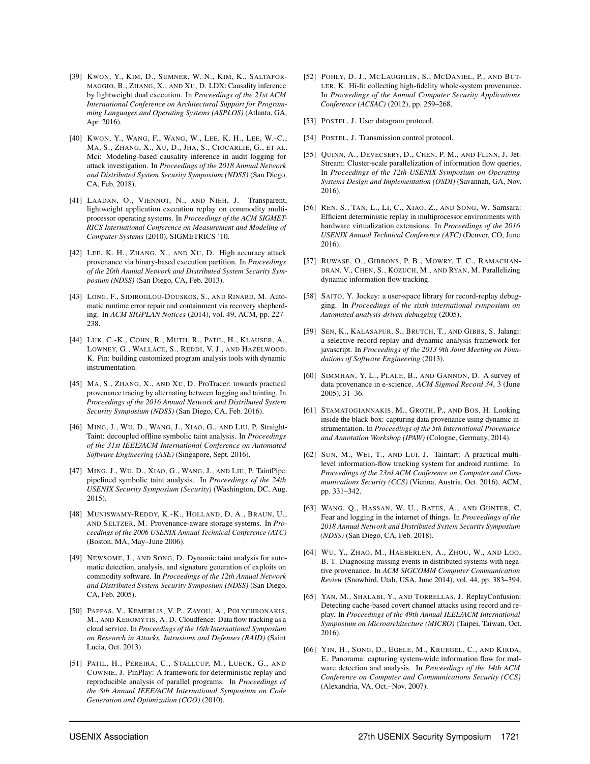- <span id="page-17-23"></span>[39] KWON, Y., KIM, D., SUMNER, W. N., KIM, K., SALTAFOR-MAGGIO, B., ZHANG, X., AND XU, D. LDX: Causality inference by lightweight dual execution. In *Proceedings of the 21st ACM International Conference on Architectural Support for Programming Languages and Operating Systems (ASPLOS)* (Atlanta, GA, Apr. 2016).
- <span id="page-17-24"></span>[40] KWON, Y., WANG, F., WANG, W., LEE, K. H., LEE, W.-C., MA, S., ZHANG, X., XU, D., JHA, S., CIOCARLIE, G., ET AL. Mci: Modeling-based causality inference in audit logging for attack investigation. In *Proceedings of the 2018 Annual Network and Distributed System Security Symposium (NDSS)* (San Diego, CA, Feb. 2018).
- <span id="page-17-27"></span>[41] LAADAN, O., VIENNOT, N., AND NIEH, J. Transparent, lightweight application execution replay on commodity multiprocessor operating systems. In *Proceedings of the ACM SIGMET-RICS International Conference on Measurement and Modeling of Computer Systems* (2010), SIGMETRICS '10.
- <span id="page-17-2"></span>[42] LEE, K. H., ZHANG, X., AND XU, D. High accuracy attack provenance via binary-based execution partition. In *Proceedings of the 20th Annual Network and Distributed System Security Symposium (NDSS)* (San Diego, CA, Feb. 2013).
- <span id="page-17-19"></span>[43] LONG, F., SIDIROGLOU-DOUSKOS, S., AND RINARD, M. Automatic runtime error repair and containment via recovery shepherding. In *ACM SIGPLAN Notices* (2014), vol. 49, ACM, pp. 227– 238.
- <span id="page-17-4"></span>[44] LUK, C.-K., COHN, R., MUTH, R., PATIL, H., KLAUSER, A., LOWNEY, G., WALLACE, S., REDDI, V. J., AND HAZELWOOD, K. Pin: building customized program analysis tools with dynamic instrumentation.
- <span id="page-17-0"></span>[45] MA, S., ZHANG, X., AND XU, D. ProTracer: towards practical provenance tracing by alternating between logging and tainting. In *Proceedings of the 2016 Annual Network and Distributed System Security Symposium (NDSS)* (San Diego, CA, Feb. 2016).
- <span id="page-17-12"></span>[46] MING, J., WU, D., WANG, J., XIAO, G., AND LIU, P. Straight-Taint: decoupled offline symbolic taint analysis. In *Proceedings of the 31st IEEE/ACM International Conference on Automated Software Engineering (ASE)* (Singapore, Sept. 2016).
- <span id="page-17-10"></span>[47] MING, J., WU, D., XIAO, G., WANG, J., AND LIU, P. TaintPipe: pipelined symbolic taint analysis. In *Proceedings of the 24th USENIX Security Symposium (Security)* (Washington, DC, Aug. 2015).
- <span id="page-17-13"></span>[48] MUNISWAMY-REDDY, K.-K., HOLLAND, D. A., BRAUN, U., AND SELTZER, M. Provenance-aware storage systems. In *Proceedings of the 2006 USENIX Annual Technical Conference (ATC)* (Boston, MA, May–June 2006).
- <span id="page-17-15"></span>[49] NEWSOME, J., AND SONG, D. Dynamic taint analysis for automatic detection, analysis, and signature generation of exploits on commodity software. In *Proceedings of the 12th Annual Network and Distributed System Security Symposium (NDSS)* (San Diego, CA, Feb. 2005).
- <span id="page-17-3"></span>[50] PAPPAS, V., KEMERLIS, V. P., ZAVOU, A., POLYCHRONAKIS, M., AND KEROMYTIS, A. D. Cloudfence: Data flow tracking as a cloud service. In *Proceedings of the 16th International Symposium on Research in Attacks, Intrusions and Defenses (RAID)* (Saint Lucia, Oct. 2013).
- <span id="page-17-6"></span>[51] PATIL, H., PEREIRA, C., STALLCUP, M., LUECK, G., AND COWNIE, J. PinPlay: A framework for deterministic replay and reproducible analysis of parallel programs. In *Proceedings of the 8th Annual IEEE/ACM International Symposium on Code Generation and Optimization (CGO)* (2010).
- <span id="page-17-25"></span>[52] POHLY, D. J., MCLAUGHLIN, S., MCDANIEL, P., AND BUT-LER, K. Hi-fi: collecting high-fidelity whole-system provenance. In *Proceedings of the Annual Computer Security Applications Conference (ACSAC)* (2012), pp. 259–268.
- <span id="page-17-18"></span>[53] POSTEL, J. User datagram protocol.
- <span id="page-17-17"></span>[54] POSTEL, J. Transmission control protocol.
- <span id="page-17-11"></span>[55] QUINN, A., DEVECSERY, D., CHEN, P. M., AND FLINN, J. Jet-Stream: Cluster-scale parallelization of information flow queries. In *Proceedings of the 12th USENIX Symposium on Operating Systems Design and Implementation (OSDI)* (Savannah, GA, Nov. 2016).
- <span id="page-17-9"></span>[56] REN, S., TAN, L., LI, C., XIAO, Z., AND SONG, W. Samsara: Efficient deterministic replay in multiprocessor environments with hardware virtualization extensions. In *Proceedings of the 2016 USENIX Annual Technical Conference (ATC)* (Denver, CO, June 2016).
- <span id="page-17-21"></span>[57] RUWASE, O., GIBBONS, P. B., MOWRY, T. C., RAMACHAN-DRAN, V., CHEN, S., KOZUCH, M., AND RYAN, M. Parallelizing dynamic information flow tracking.
- <span id="page-17-7"></span>[58] SAITO, Y. Jockey: a user-space library for record-replay debugging. In *Proceedings of the sixth international symposium on Automated analysis-driven debugging* (2005).
- <span id="page-17-8"></span>[59] SEN, K., KALASAPUR, S., BRUTCH, T., AND GIBBS, S. Jalangi: a selective record-replay and dynamic analysis framework for javascript. In *Proceedings of the 2013 9th Joint Meeting on Foundations of Software Engineering* (2013).
- <span id="page-17-22"></span>[60] SIMMHAN, Y. L., PLALE, B., AND GANNON, D. A survey of data provenance in e-science. *ACM Sigmod Record 34*, 3 (June 2005), 31–36.
- <span id="page-17-16"></span>[61] STAMATOGIANNAKIS, M., GROTH, P., AND BOS, H. Looking inside the black-box: capturing data provenance using dynamic instrumentation. In *Proceedings of the 5th International Provenance and Annotation Workshop (IPAW)* (Cologne, Germany, 2014).
- <span id="page-17-20"></span>[62] SUN, M., WEI, T., AND LUI, J. Taintart: A practical multilevel information-flow tracking system for android runtime. In *Proceedings of the 23rd ACM Conference on Computer and Communications Security (CCS)* (Vienna, Austria, Oct. 2016), ACM, pp. 331–342.
- <span id="page-17-26"></span>[63] WANG, Q., HASSAN, W. U., BATES, A., AND GUNTER, C. Fear and logging in the internet of things. In *Proceedings of the 2018 Annual Network and Distributed System Security Symposium (NDSS)* (San Diego, CA, Feb. 2018).
- <span id="page-17-1"></span>[64] WU, Y., ZHAO, M., HAEBERLEN, A., ZHOU, W., AND LOO, B. T. Diagnosing missing events in distributed systems with negative provenance. In *ACM SIGCOMM Computer Communication Review* (Snowbird, Utah, USA, June 2014), vol. 44, pp. 383–394.
- <span id="page-17-14"></span>[65] YAN, M., SHALABI, Y., AND TORRELLAS, J. ReplayConfusion: Detecting cache-based covert channel attacks using record and replay. In *Proceedings of the 49th Annual IEEE/ACM International Symposium on Microarchitecture (MICRO)* (Taipei, Taiwan, Oct. 2016).
- <span id="page-17-5"></span>[66] YIN, H., SONG, D., EGELE, M., KRUEGEL, C., AND KIRDA, E. Panorama: capturing system-wide information flow for malware detection and analysis. In *Proceedings of the 14th ACM Conference on Computer and Communications Security (CCS)* (Alexandria, VA, Oct.–Nov. 2007).